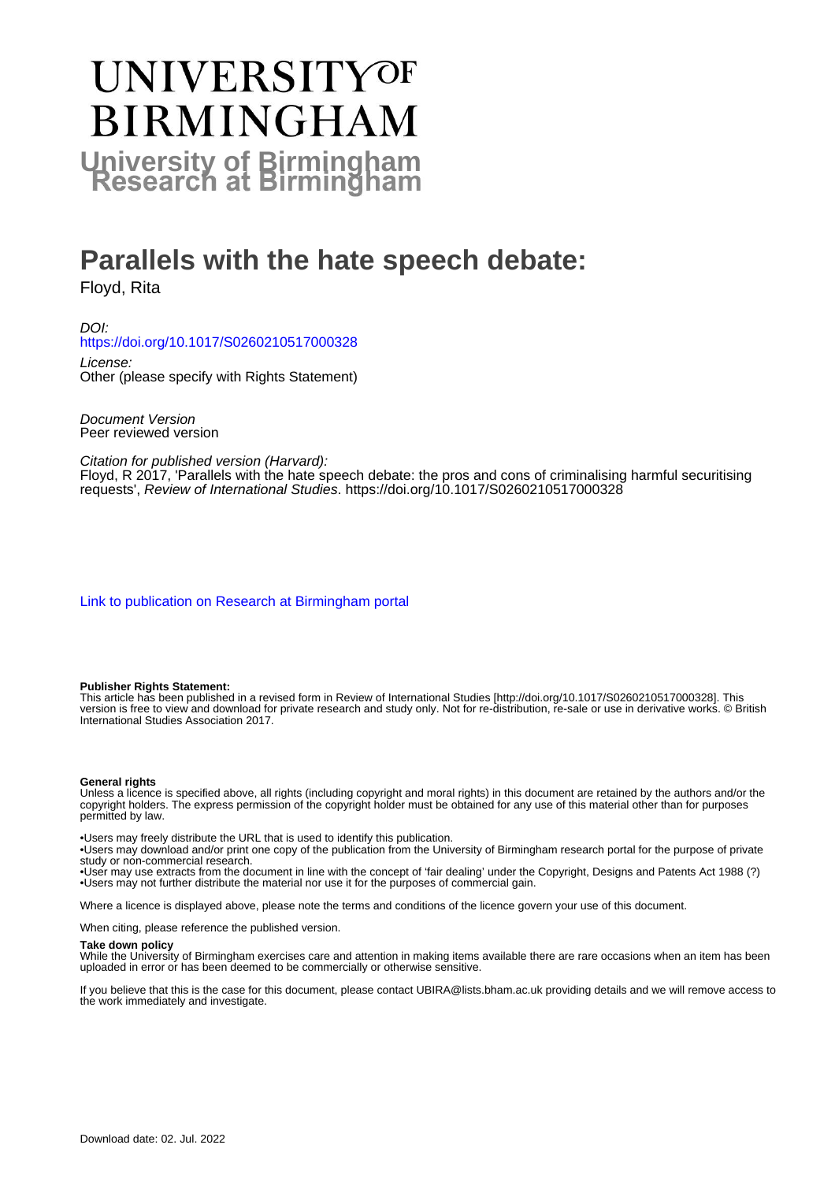# UNIVERSITYOF **BIRMINGHAM University of Birmingham**

# **Parallels with the hate speech debate:**

Floyd, Rita

DOI: <https://doi.org/10.1017/S0260210517000328>

License: Other (please specify with Rights Statement)

Document Version Peer reviewed version

Citation for published version (Harvard):

Floyd, R 2017, 'Parallels with the hate speech debate: the pros and cons of criminalising harmful securitising requests', Review of International Studies.<https://doi.org/10.1017/S0260210517000328>

[Link to publication on Research at Birmingham portal](https://birmingham.elsevierpure.com/en/publications/a1037e6f-8261-4341-af14-bc5c849284f2)

#### **Publisher Rights Statement:**

This article has been published in a revised form in Review of International Studies [http://doi.org/10.1017/S0260210517000328]. This version is free to view and download for private research and study only. Not for re-distribution, re-sale or use in derivative works. © British International Studies Association 2017.

#### **General rights**

Unless a licence is specified above, all rights (including copyright and moral rights) in this document are retained by the authors and/or the copyright holders. The express permission of the copyright holder must be obtained for any use of this material other than for purposes permitted by law.

• Users may freely distribute the URL that is used to identify this publication.

• Users may download and/or print one copy of the publication from the University of Birmingham research portal for the purpose of private study or non-commercial research.

• User may use extracts from the document in line with the concept of 'fair dealing' under the Copyright, Designs and Patents Act 1988 (?) • Users may not further distribute the material nor use it for the purposes of commercial gain.

Where a licence is displayed above, please note the terms and conditions of the licence govern your use of this document.

When citing, please reference the published version.

#### **Take down policy**

While the University of Birmingham exercises care and attention in making items available there are rare occasions when an item has been uploaded in error or has been deemed to be commercially or otherwise sensitive.

If you believe that this is the case for this document, please contact UBIRA@lists.bham.ac.uk providing details and we will remove access to the work immediately and investigate.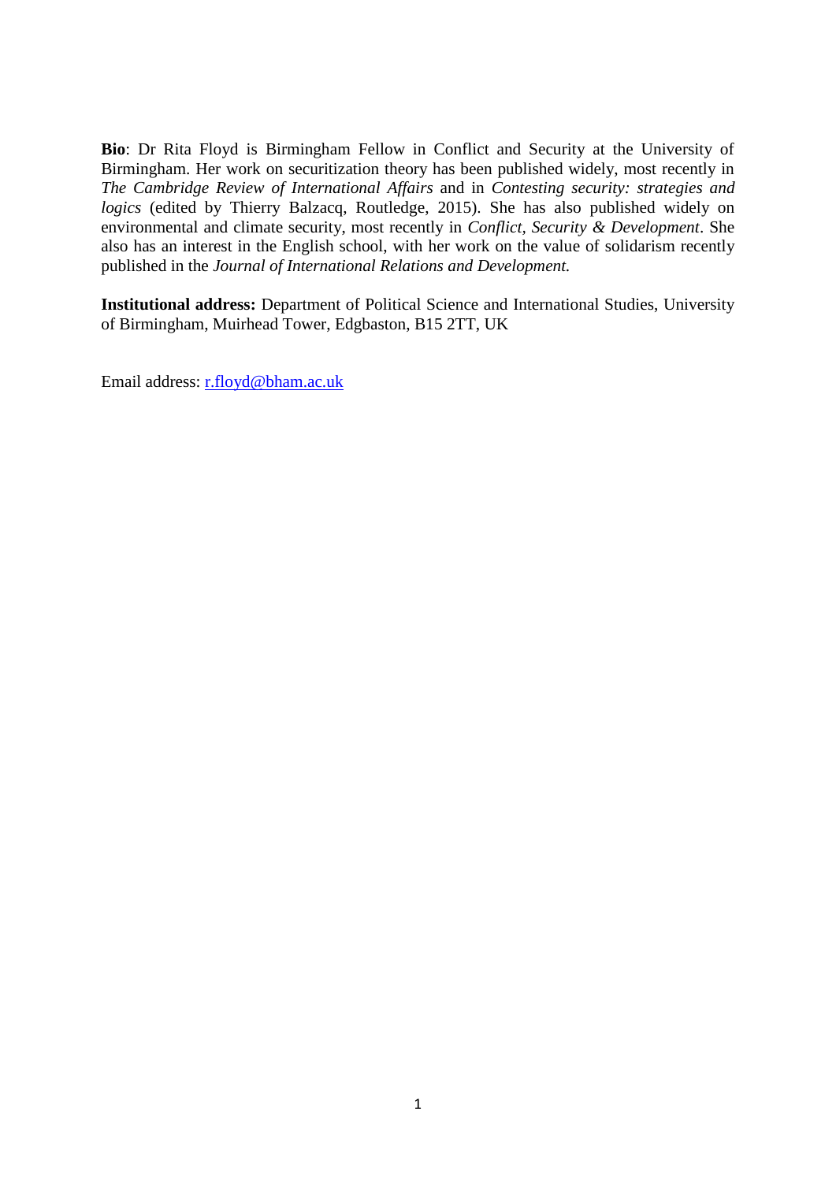**Bio**: Dr Rita Floyd is Birmingham Fellow in Conflict and Security at the University of Birmingham. Her work on securitization theory has been published widely, most recently in *The Cambridge Review of International Affairs* and in *Contesting security: strategies and logics* (edited by Thierry Balzacq, Routledge, 2015). She has also published widely on environmental and climate security, most recently in *Conflict, Security & Development*. She also has an interest in the English school, with her work on the value of solidarism recently published in the *Journal of International Relations and Development.*

**Institutional address:** Department of Political Science and International Studies, University of Birmingham, Muirhead Tower, Edgbaston, B15 2TT, UK

Email address: [r.floyd@bham.ac.uk](mailto:r.floyd@bham.ac.uk)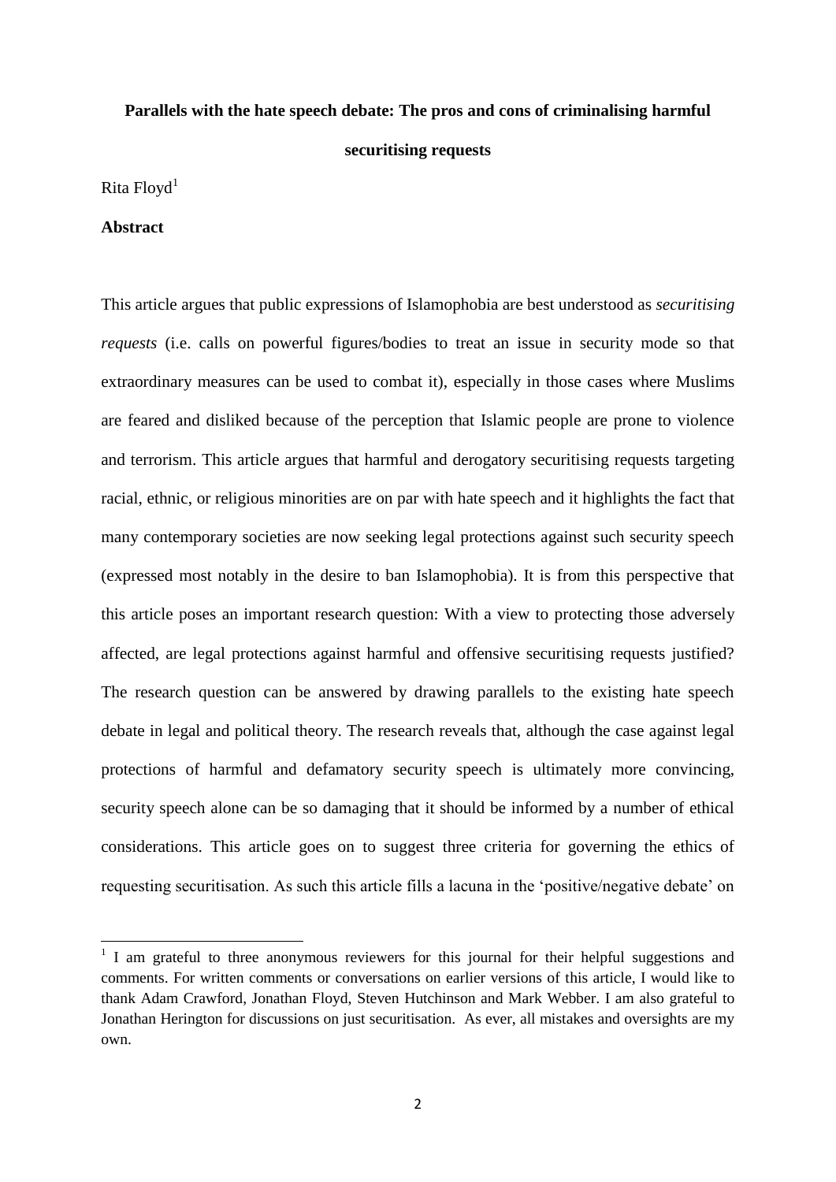# **Parallels with the hate speech debate: The pros and cons of criminalising harmful securitising requests**

## Rita  $Flowd<sup>1</sup>$

### **Abstract**

**.** 

This article argues that public expressions of Islamophobia are best understood as *securitising requests* (i.e. calls on powerful figures/bodies to treat an issue in security mode so that extraordinary measures can be used to combat it), especially in those cases where Muslims are feared and disliked because of the perception that Islamic people are prone to violence and terrorism. This article argues that harmful and derogatory securitising requests targeting racial, ethnic, or religious minorities are on par with hate speech and it highlights the fact that many contemporary societies are now seeking legal protections against such security speech (expressed most notably in the desire to ban Islamophobia). It is from this perspective that this article poses an important research question: With a view to protecting those adversely affected, are legal protections against harmful and offensive securitising requests justified? The research question can be answered by drawing parallels to the existing hate speech debate in legal and political theory. The research reveals that, although the case against legal protections of harmful and defamatory security speech is ultimately more convincing, security speech alone can be so damaging that it should be informed by a number of ethical considerations. This article goes on to suggest three criteria for governing the ethics of requesting securitisation. As such this article fills a lacuna in the 'positive/negative debate' on

<sup>&</sup>lt;sup>1</sup> I am grateful to three anonymous reviewers for this journal for their helpful suggestions and comments. For written comments or conversations on earlier versions of this article, I would like to thank Adam Crawford, Jonathan Floyd, Steven Hutchinson and Mark Webber. I am also grateful to Jonathan Herington for discussions on just securitisation. As ever, all mistakes and oversights are my own.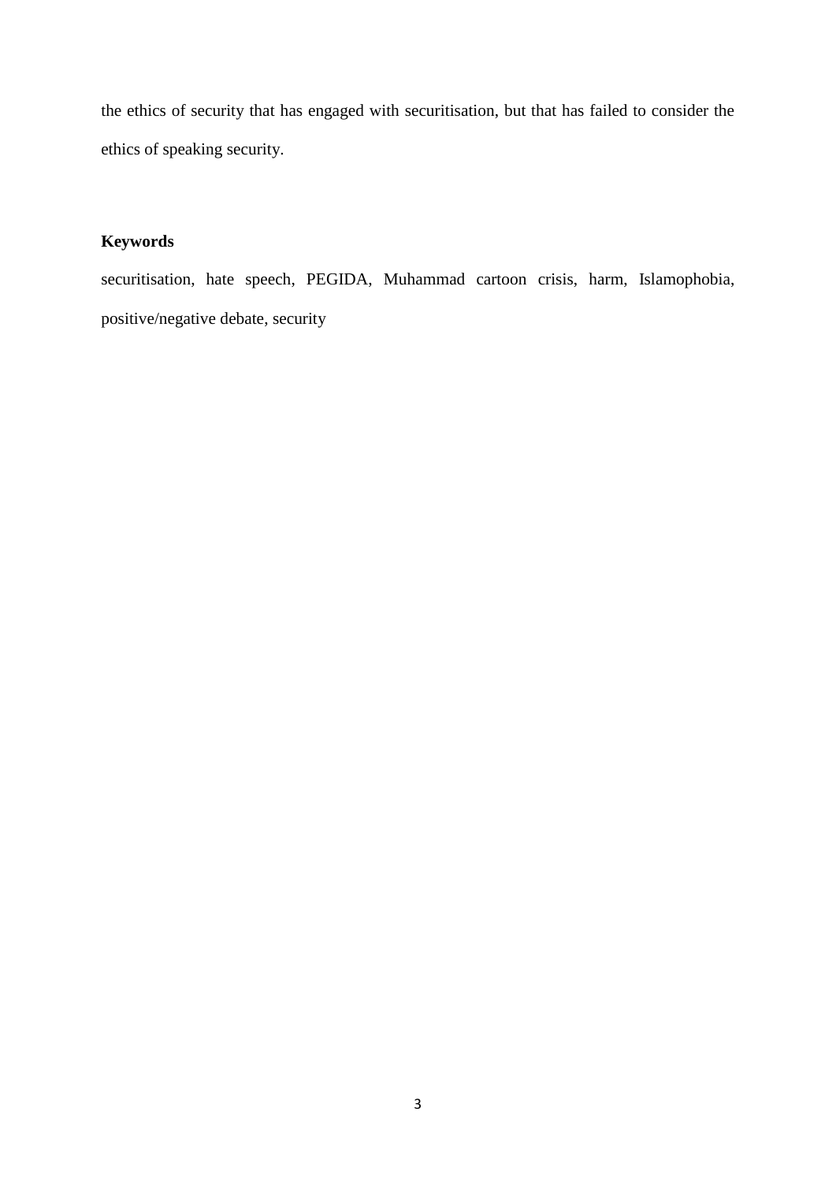the ethics of security that has engaged with securitisation, but that has failed to consider the ethics of speaking security.

## **Keywords**

securitisation, hate speech, PEGIDA, Muhammad cartoon crisis, harm, Islamophobia, positive/negative debate, security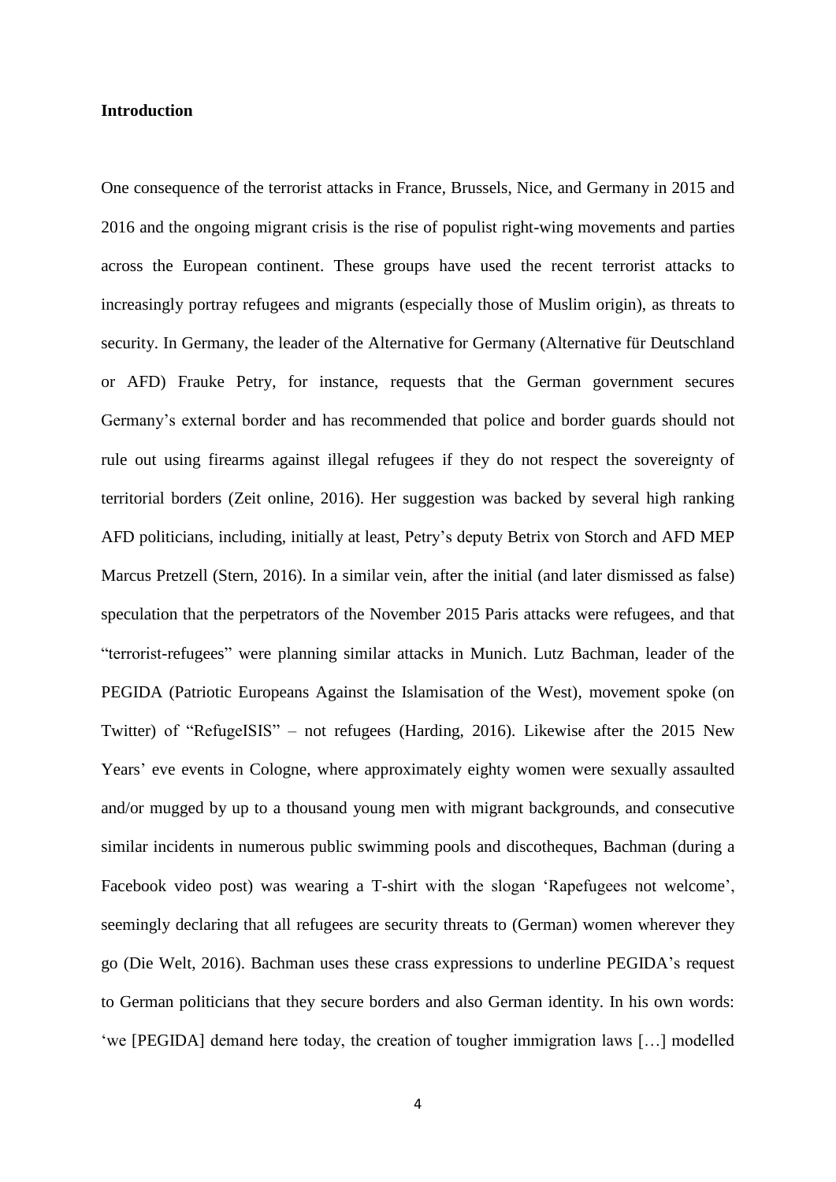#### **Introduction**

One consequence of the terrorist attacks in France, Brussels, Nice, and Germany in 2015 and 2016 and the ongoing migrant crisis is the rise of populist right-wing movements and parties across the European continent. These groups have used the recent terrorist attacks to increasingly portray refugees and migrants (especially those of Muslim origin), as threats to security. In Germany, the leader of the Alternative for Germany (Alternative für Deutschland or AFD) Frauke Petry, for instance, requests that the German government secures Germany's external border and has recommended that police and border guards should not rule out using firearms against illegal refugees if they do not respect the sovereignty of territorial borders (Zeit online, 2016). Her suggestion was backed by several high ranking AFD politicians, including, initially at least, Petry's deputy Betrix von Storch and AFD MEP Marcus Pretzell (Stern, 2016). In a similar vein, after the initial (and later dismissed as false) speculation that the perpetrators of the November 2015 Paris attacks were refugees, and that "terrorist-refugees" were planning similar attacks in Munich. Lutz Bachman, leader of the PEGIDA (Patriotic Europeans Against the Islamisation of the West), movement spoke (on Twitter) of "RefugeISIS" – not refugees (Harding, 2016). Likewise after the 2015 New Years' eve events in Cologne, where approximately eighty women were sexually assaulted and/or mugged by up to a thousand young men with migrant backgrounds, and consecutive similar incidents in numerous public swimming pools and discotheques, Bachman (during a Facebook video post) was wearing a T-shirt with the slogan 'Rapefugees not welcome', seemingly declaring that all refugees are security threats to (German) women wherever they go (Die Welt, 2016). Bachman uses these crass expressions to underline PEGIDA's request to German politicians that they secure borders and also German identity. In his own words: 'we [PEGIDA] demand here today, the creation of tougher immigration laws […] modelled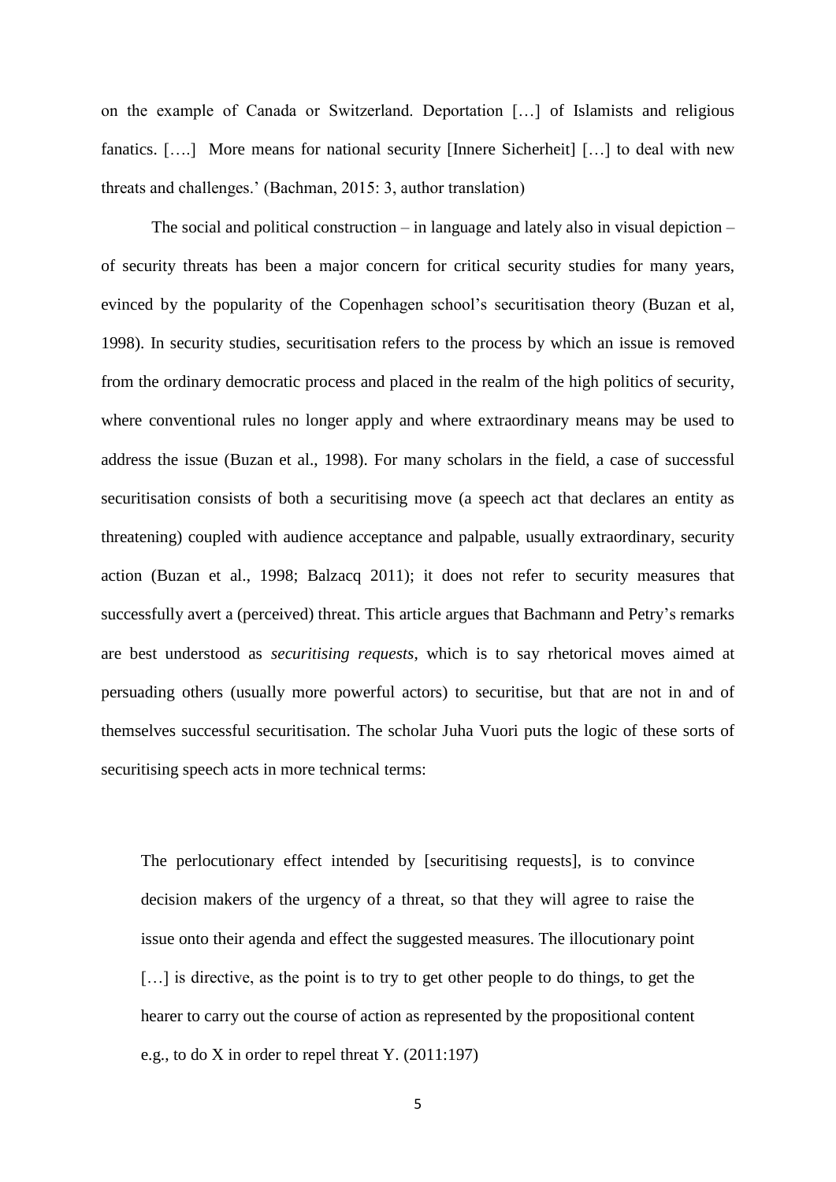on the example of Canada or Switzerland. Deportation […] of Islamists and religious fanatics. [….] More means for national security [Innere Sicherheit] […] to deal with new threats and challenges.' (Bachman, 2015: 3, author translation)

The social and political construction – in language and lately also in visual depiction – of security threats has been a major concern for critical security studies for many years, evinced by the popularity of the Copenhagen school's securitisation theory (Buzan et al, 1998). In security studies, securitisation refers to the process by which an issue is removed from the ordinary democratic process and placed in the realm of the high politics of security, where conventional rules no longer apply and where extraordinary means may be used to address the issue (Buzan et al., 1998). For many scholars in the field, a case of successful securitisation consists of both a securitising move (a speech act that declares an entity as threatening) coupled with audience acceptance and palpable, usually extraordinary, security action (Buzan et al., 1998; Balzacq 2011); it does not refer to security measures that successfully avert a (perceived) threat. This article argues that Bachmann and Petry's remarks are best understood as *securitising requests*, which is to say rhetorical moves aimed at persuading others (usually more powerful actors) to securitise, but that are not in and of themselves successful securitisation. The scholar Juha Vuori puts the logic of these sorts of securitising speech acts in more technical terms:

The perlocutionary effect intended by [securitising requests], is to convince decision makers of the urgency of a threat, so that they will agree to raise the issue onto their agenda and effect the suggested measures. The illocutionary point [...] is directive, as the point is to try to get other people to do things, to get the hearer to carry out the course of action as represented by the propositional content e.g., to do X in order to repel threat Y. (2011:197)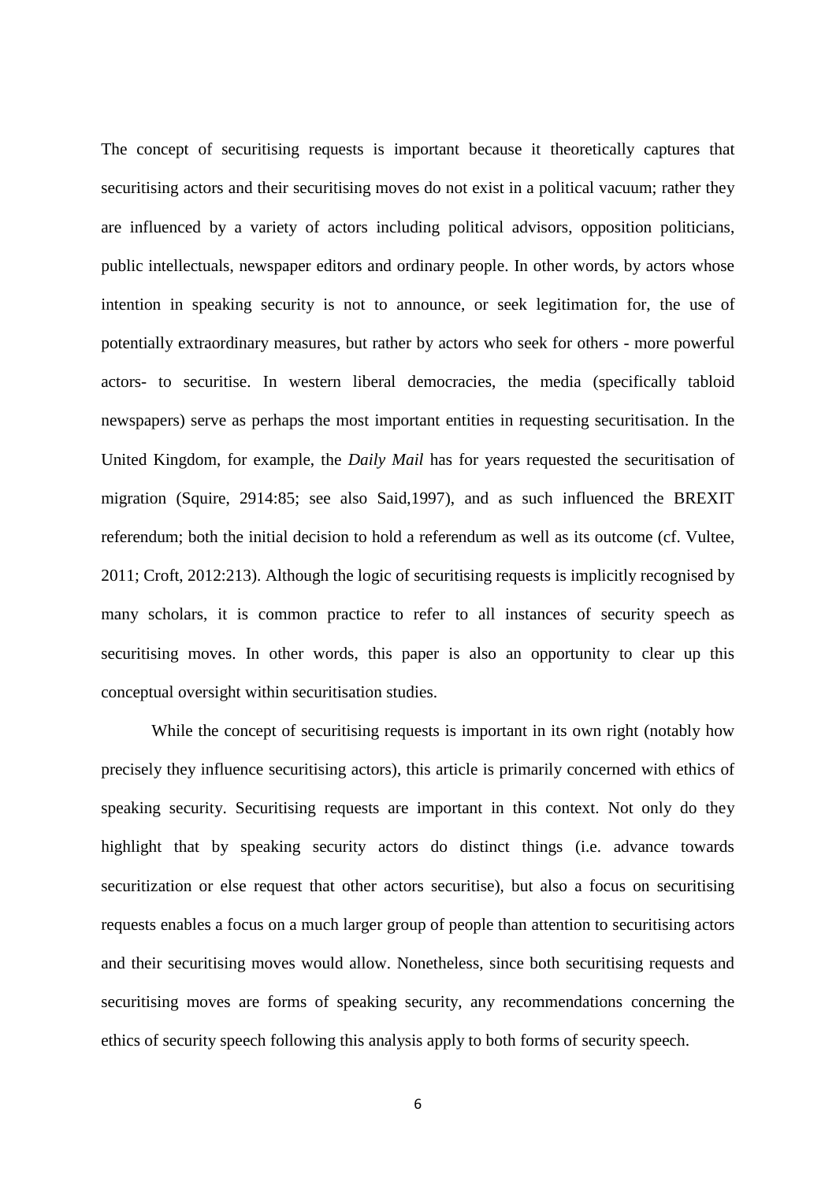The concept of securitising requests is important because it theoretically captures that securitising actors and their securitising moves do not exist in a political vacuum; rather they are influenced by a variety of actors including political advisors, opposition politicians, public intellectuals, newspaper editors and ordinary people. In other words, by actors whose intention in speaking security is not to announce, or seek legitimation for, the use of potentially extraordinary measures, but rather by actors who seek for others - more powerful actors- to securitise. In western liberal democracies, the media (specifically tabloid newspapers) serve as perhaps the most important entities in requesting securitisation. In the United Kingdom, for example, the *Daily Mail* has for years requested the securitisation of migration (Squire, 2914:85; see also Said,1997), and as such influenced the BREXIT referendum; both the initial decision to hold a referendum as well as its outcome (cf. Vultee, 2011; Croft, 2012:213). Although the logic of securitising requests is implicitly recognised by many scholars, it is common practice to refer to all instances of security speech as securitising moves. In other words, this paper is also an opportunity to clear up this conceptual oversight within securitisation studies.

While the concept of securitising requests is important in its own right (notably how precisely they influence securitising actors), this article is primarily concerned with ethics of speaking security. Securitising requests are important in this context. Not only do they highlight that by speaking security actors do distinct things (i.e. advance towards securitization or else request that other actors securitise), but also a focus on securitising requests enables a focus on a much larger group of people than attention to securitising actors and their securitising moves would allow. Nonetheless, since both securitising requests and securitising moves are forms of speaking security, any recommendations concerning the ethics of security speech following this analysis apply to both forms of security speech.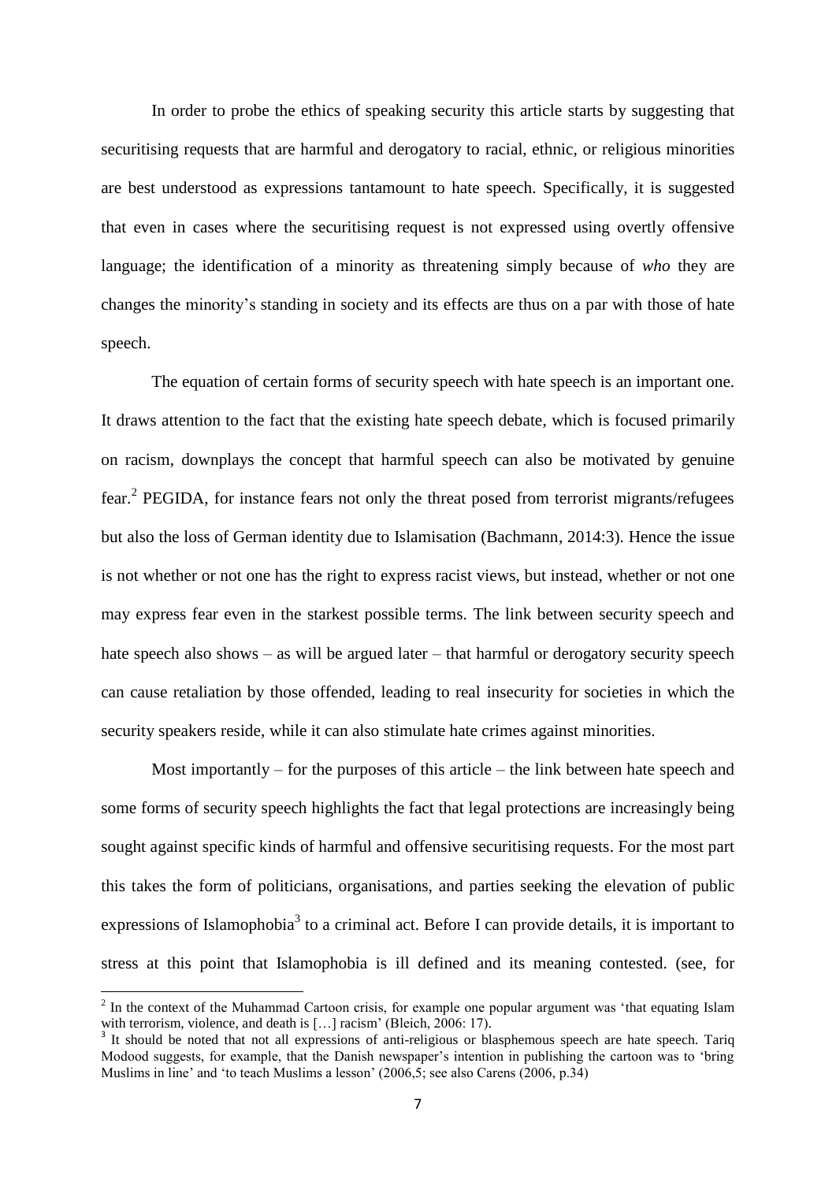In order to probe the ethics of speaking security this article starts by suggesting that securitising requests that are harmful and derogatory to racial, ethnic, or religious minorities are best understood as expressions tantamount to hate speech. Specifically, it is suggested that even in cases where the securitising request is not expressed using overtly offensive language; the identification of a minority as threatening simply because of *who* they are changes the minority's standing in society and its effects are thus on a par with those of hate speech.

The equation of certain forms of security speech with hate speech is an important one. It draws attention to the fact that the existing hate speech debate, which is focused primarily on racism, downplays the concept that harmful speech can also be motivated by genuine fear.<sup>2</sup> PEGIDA, for instance fears not only the threat posed from terrorist migrants/refugees but also the loss of German identity due to Islamisation (Bachmann, 2014:3). Hence the issue is not whether or not one has the right to express racist views, but instead, whether or not one may express fear even in the starkest possible terms. The link between security speech and hate speech also shows – as will be argued later – that harmful or derogatory security speech can cause retaliation by those offended, leading to real insecurity for societies in which the security speakers reside, while it can also stimulate hate crimes against minorities.

Most importantly – for the purposes of this article – the link between hate speech and some forms of security speech highlights the fact that legal protections are increasingly being sought against specific kinds of harmful and offensive securitising requests. For the most part this takes the form of politicians, organisations, and parties seeking the elevation of public expressions of Islamophobia<sup>3</sup> to a criminal act. Before I can provide details, it is important to stress at this point that Islamophobia is ill defined and its meaning contested. (see, for

<sup>&</sup>lt;sup>2</sup> In the context of the Muhammad Cartoon crisis, for example one popular argument was 'that equating Islam with terrorism, violence, and death is  $[\dots]$  racism' (Bleich, 2006: 17).

<sup>&</sup>lt;sup>3</sup> It should be noted that not all expressions of anti-religious or blasphemous speech are hate speech. Tariq Modood suggests, for example, that the Danish newspaper's intention in publishing the cartoon was to 'bring Muslims in line' and 'to teach Muslims a lesson' (2006,5; see also Carens (2006, p.34)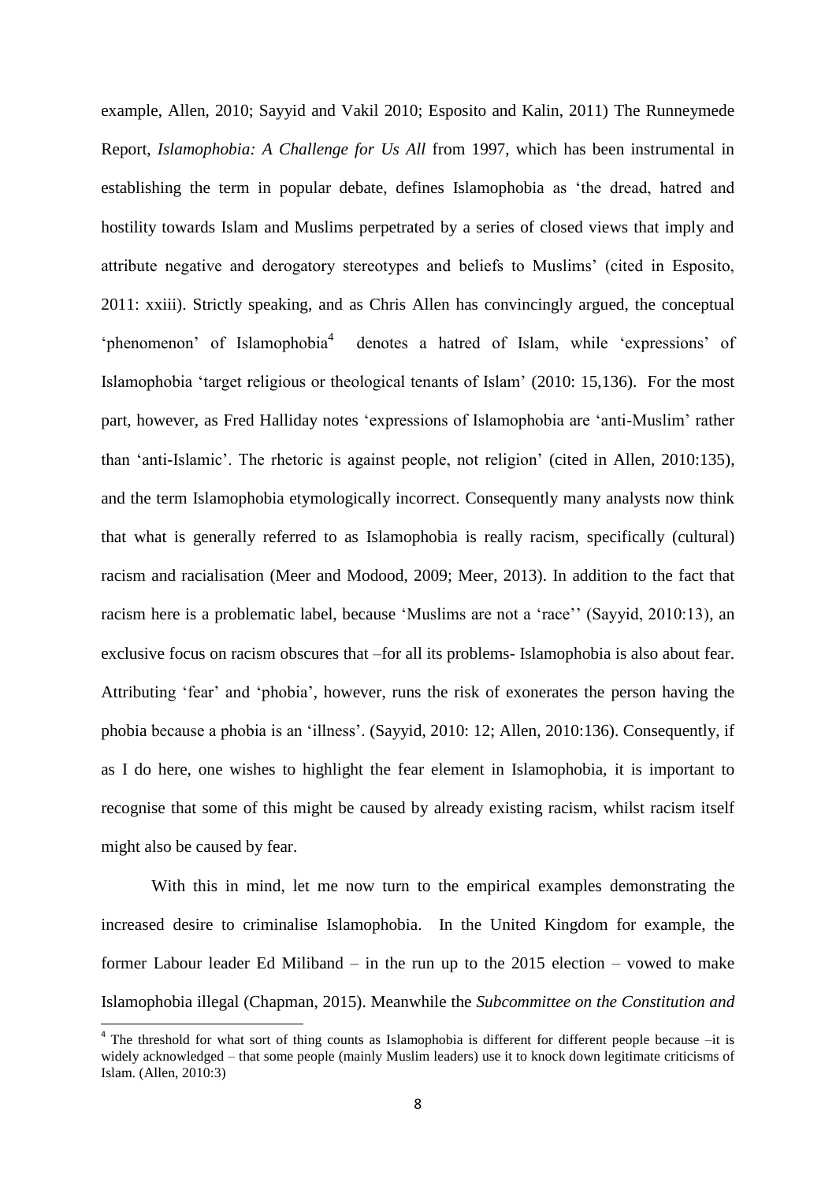example, Allen, 2010; Sayyid and Vakil 2010; Esposito and Kalin, 2011) The Runneymede Report, *Islamophobia: A Challenge for Us All* from 1997, which has been instrumental in establishing the term in popular debate, defines Islamophobia as 'the dread, hatred and hostility towards Islam and Muslims perpetrated by a series of closed views that imply and attribute negative and derogatory stereotypes and beliefs to Muslims' (cited in Esposito, 2011: xxiii). Strictly speaking, and as Chris Allen has convincingly argued, the conceptual 'phenomenon' of Islamophobia<sup>4</sup> denotes a hatred of Islam, while 'expressions' of Islamophobia 'target religious or theological tenants of Islam' (2010: 15,136). For the most part, however, as Fred Halliday notes 'expressions of Islamophobia are 'anti-Muslim' rather than 'anti-Islamic'. The rhetoric is against people, not religion' (cited in Allen, 2010:135), and the term Islamophobia etymologically incorrect. Consequently many analysts now think that what is generally referred to as Islamophobia is really racism, specifically (cultural) racism and racialisation (Meer and Modood, 2009; Meer, 2013). In addition to the fact that racism here is a problematic label, because 'Muslims are not a 'race'' (Sayyid, 2010:13), an exclusive focus on racism obscures that –for all its problems- Islamophobia is also about fear. Attributing 'fear' and 'phobia', however, runs the risk of exonerates the person having the phobia because a phobia is an 'illness'. (Sayyid, 2010: 12; Allen, 2010:136). Consequently, if as I do here, one wishes to highlight the fear element in Islamophobia, it is important to recognise that some of this might be caused by already existing racism, whilst racism itself might also be caused by fear.

With this in mind, let me now turn to the empirical examples demonstrating the increased desire to criminalise Islamophobia. In the United Kingdom for example, the former Labour leader Ed Miliband – in the run up to the 2015 election – vowed to make Islamophobia illegal (Chapman, 2015). Meanwhile the *Subcommittee on the Constitution and* 

<sup>&</sup>lt;sup>4</sup> The threshold for what sort of thing counts as Islamophobia is different for different people because -it is widely acknowledged – that some people (mainly Muslim leaders) use it to knock down legitimate criticisms of Islam. (Allen, 2010:3)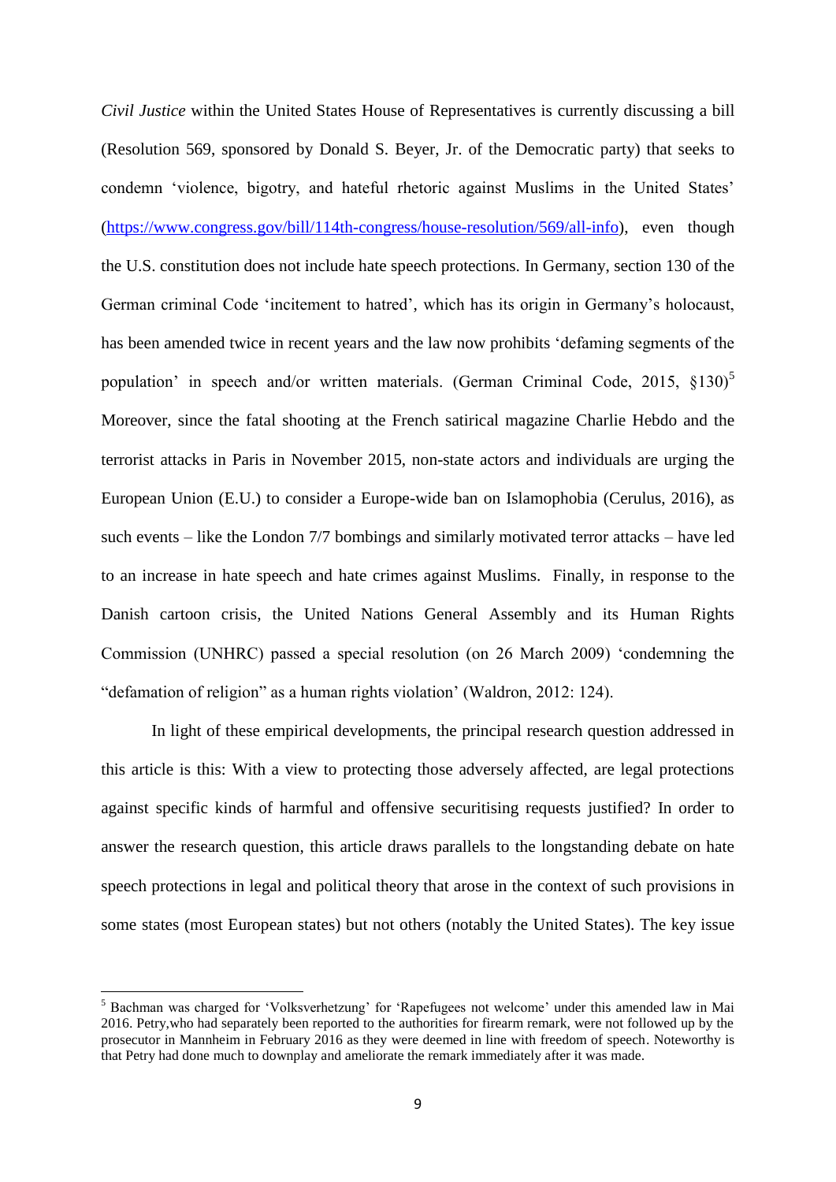*Civil Justice* within the United States House of Representatives is currently discussing a bill (Resolution 569, sponsored by Donald S. Beyer, Jr. of the Democratic party) that seeks to condemn 'violence, bigotry, and hateful rhetoric against Muslims in the United States' [\(https://www.congress.gov/bill/114th-congress/house-resolution/569/all-info\)](https://www.congress.gov/bill/114th-congress/house-resolution/569/all-info), even though the U.S. constitution does not include hate speech protections. In Germany, section 130 of the German criminal Code 'incitement to hatred', which has its origin in Germany's holocaust, has been amended twice in recent years and the law now prohibits 'defaming segments of the population' in speech and/or written materials. (German Criminal Code,  $2015$ ,  $\S 130$ )<sup>5</sup> Moreover, since the fatal shooting at the French satirical magazine Charlie Hebdo and the terrorist attacks in Paris in November 2015, non-state actors and individuals are urging the European Union (E.U.) to consider a Europe-wide ban on Islamophobia (Cerulus, 2016), as such events – like the London 7/7 bombings and similarly motivated terror attacks – have led to an increase in hate speech and hate crimes against Muslims. Finally, in response to the Danish cartoon crisis, the United Nations General Assembly and its Human Rights Commission (UNHRC) passed a special resolution (on 26 March 2009) 'condemning the "defamation of religion" as a human rights violation' (Waldron, 2012: 124).

In light of these empirical developments, the principal research question addressed in this article is this: With a view to protecting those adversely affected, are legal protections against specific kinds of harmful and offensive securitising requests justified? In order to answer the research question, this article draws parallels to the longstanding debate on hate speech protections in legal and political theory that arose in the context of such provisions in some states (most European states) but not others (notably the United States). The key issue

1

<sup>5</sup> Bachman was charged for 'Volksverhetzung' for 'Rapefugees not welcome' under this amended law in Mai 2016. Petry,who had separately been reported to the authorities for firearm remark, were not followed up by the prosecutor in Mannheim in February 2016 as they were deemed in line with freedom of speech. Noteworthy is that Petry had done much to downplay and ameliorate the remark immediately after it was made.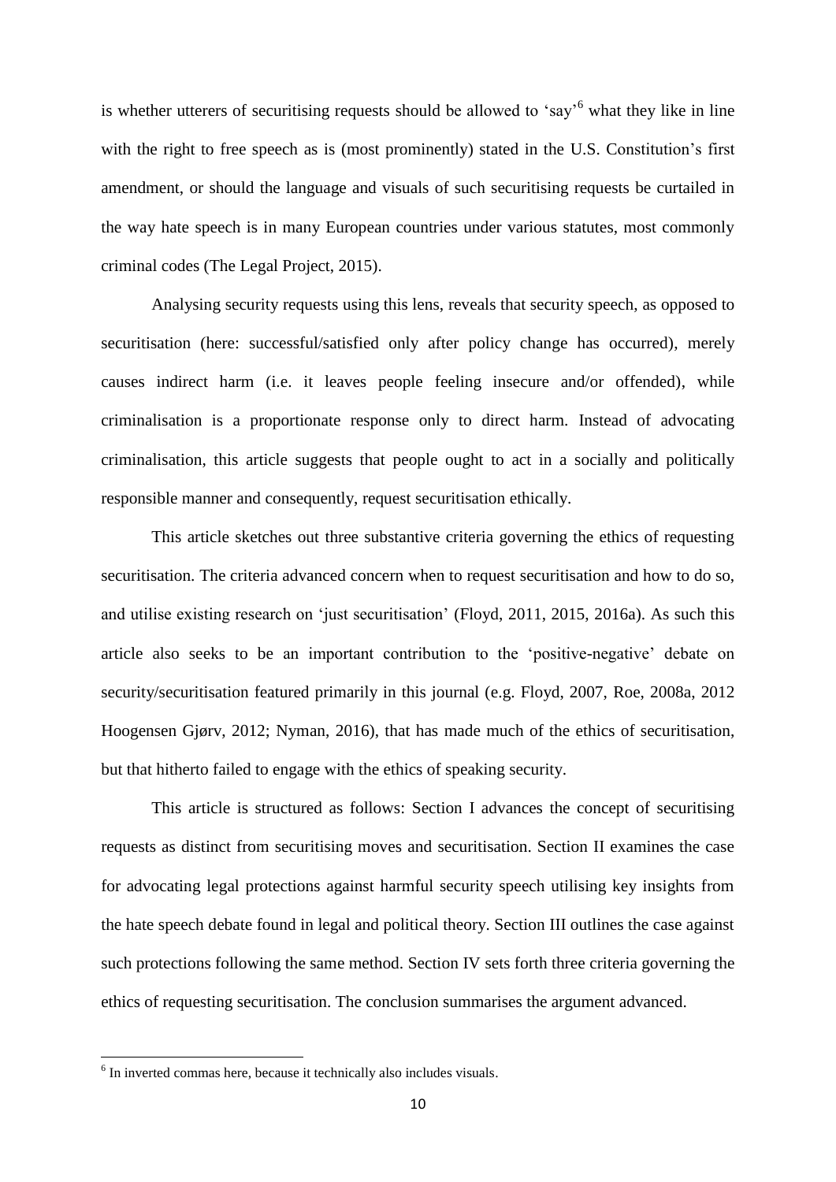is whether utterers of securitising requests should be allowed to 'say'<sup>6</sup> what they like in line with the right to free speech as is (most prominently) stated in the U.S. Constitution's first amendment, or should the language and visuals of such securitising requests be curtailed in the way hate speech is in many European countries under various statutes, most commonly criminal codes (The Legal Project, 2015).

Analysing security requests using this lens, reveals that security speech, as opposed to securitisation (here: successful/satisfied only after policy change has occurred), merely causes indirect harm (i.e. it leaves people feeling insecure and/or offended), while criminalisation is a proportionate response only to direct harm. Instead of advocating criminalisation, this article suggests that people ought to act in a socially and politically responsible manner and consequently, request securitisation ethically.

This article sketches out three substantive criteria governing the ethics of requesting securitisation. The criteria advanced concern when to request securitisation and how to do so, and utilise existing research on 'just securitisation' (Floyd, 2011, 2015, 2016a). As such this article also seeks to be an important contribution to the 'positive-negative' debate on security/securitisation featured primarily in this journal (e.g. Floyd, 2007, Roe, 2008a, 2012 Hoogensen Gjørv, 2012; Nyman, 2016), that has made much of the ethics of securitisation, but that hitherto failed to engage with the ethics of speaking security.

This article is structured as follows: Section I advances the concept of securitising requests as distinct from securitising moves and securitisation. Section II examines the case for advocating legal protections against harmful security speech utilising key insights from the hate speech debate found in legal and political theory. Section III outlines the case against such protections following the same method. Section IV sets forth three criteria governing the ethics of requesting securitisation. The conclusion summarises the argument advanced.

<sup>&</sup>lt;sup>6</sup> In inverted commas here, because it technically also includes visuals.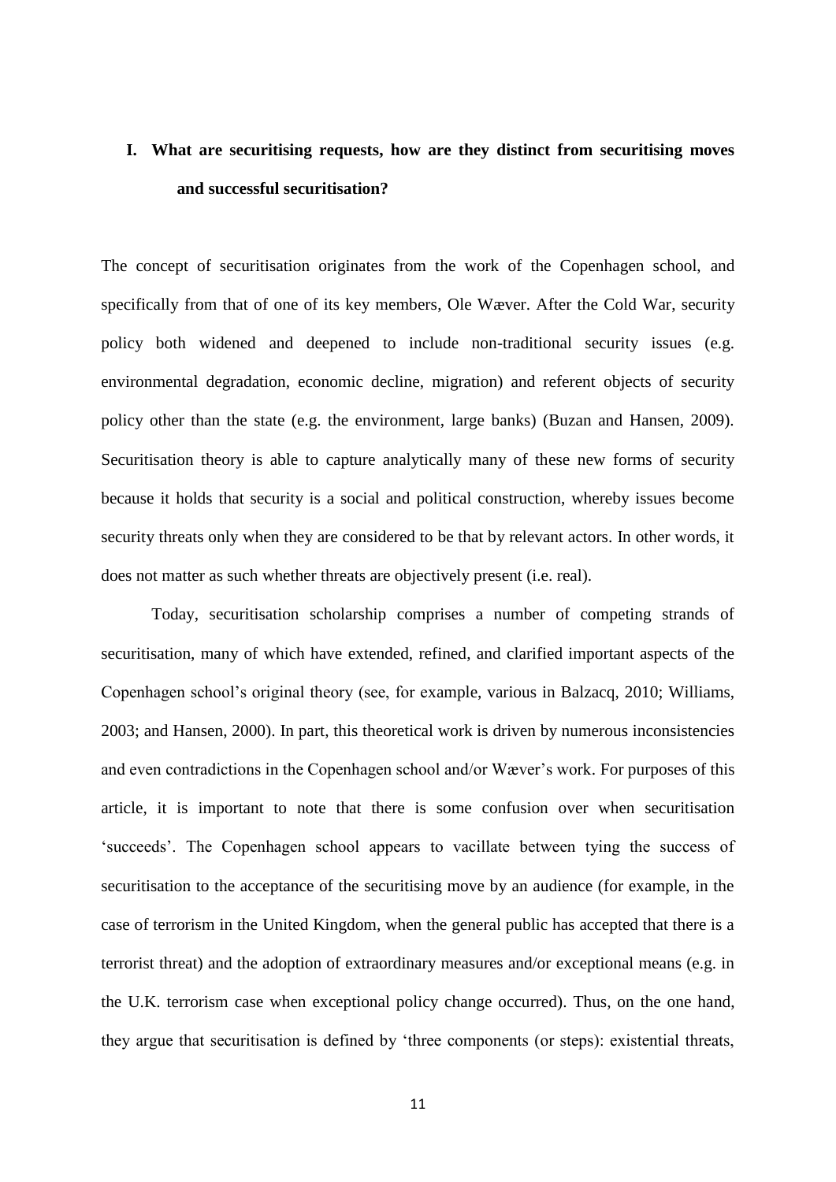## **I. What are securitising requests, how are they distinct from securitising moves and successful securitisation?**

The concept of securitisation originates from the work of the Copenhagen school, and specifically from that of one of its key members, Ole Wæver. After the Cold War, security policy both widened and deepened to include non-traditional security issues (e.g. environmental degradation, economic decline, migration) and referent objects of security policy other than the state (e.g. the environment, large banks) (Buzan and Hansen, 2009). Securitisation theory is able to capture analytically many of these new forms of security because it holds that security is a social and political construction, whereby issues become security threats only when they are considered to be that by relevant actors. In other words, it does not matter as such whether threats are objectively present (i.e. real).

Today, securitisation scholarship comprises a number of competing strands of securitisation, many of which have extended, refined, and clarified important aspects of the Copenhagen school's original theory (see, for example, various in Balzacq, 2010; Williams, 2003; and Hansen, 2000). In part, this theoretical work is driven by numerous inconsistencies and even contradictions in the Copenhagen school and/or Wæver's work. For purposes of this article, it is important to note that there is some confusion over when securitisation 'succeeds'. The Copenhagen school appears to vacillate between tying the success of securitisation to the acceptance of the securitising move by an audience (for example, in the case of terrorism in the United Kingdom, when the general public has accepted that there is a terrorist threat) and the adoption of extraordinary measures and/or exceptional means (e.g. in the U.K. terrorism case when exceptional policy change occurred). Thus, on the one hand, they argue that securitisation is defined by 'three components (or steps): existential threats,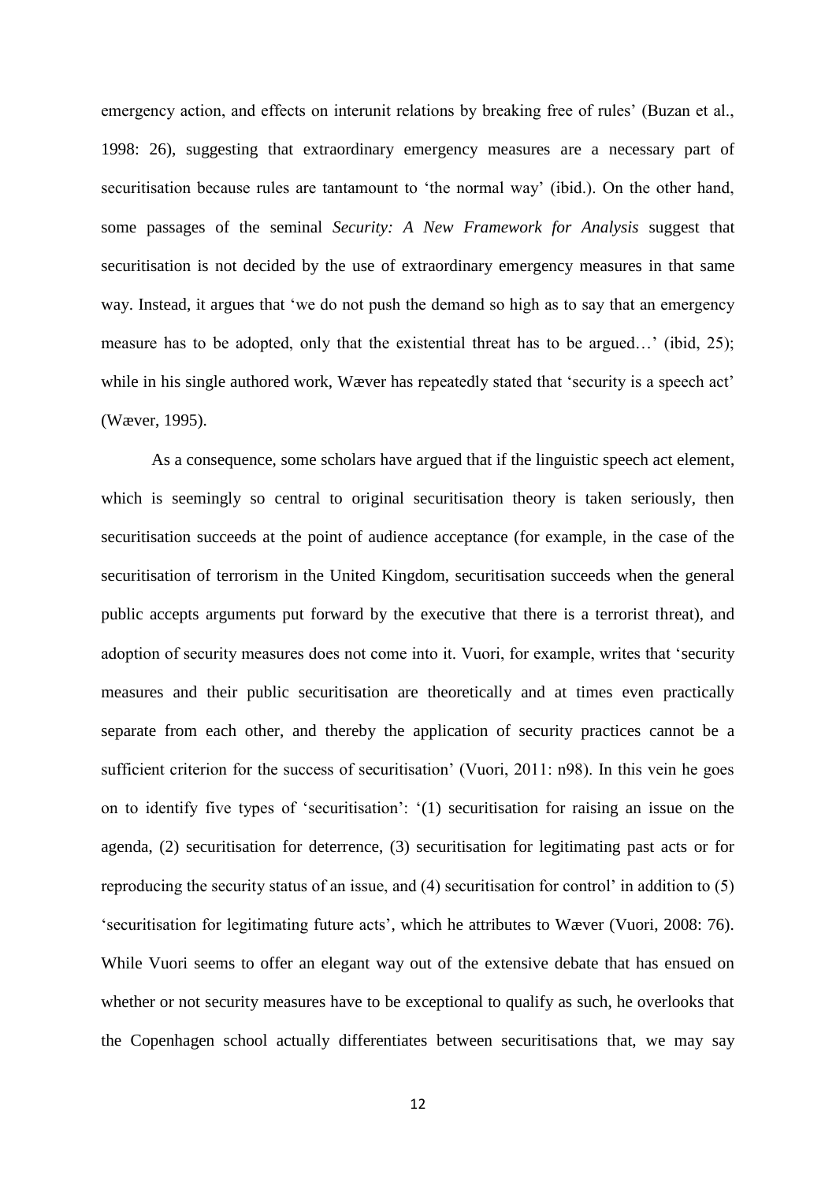emergency action, and effects on interunit relations by breaking free of rules' (Buzan et al., 1998: 26), suggesting that extraordinary emergency measures are a necessary part of securitisation because rules are tantamount to 'the normal way' (ibid.). On the other hand, some passages of the seminal *Security: A New Framework for Analysis* suggest that securitisation is not decided by the use of extraordinary emergency measures in that same way. Instead, it argues that 'we do not push the demand so high as to say that an emergency measure has to be adopted, only that the existential threat has to be argued…' (ibid, 25); while in his single authored work, Wæver has repeatedly stated that 'security is a speech act' (Wæver, 1995).

As a consequence, some scholars have argued that if the linguistic speech act element, which is seemingly so central to original securitisation theory is taken seriously, then securitisation succeeds at the point of audience acceptance (for example, in the case of the securitisation of terrorism in the United Kingdom, securitisation succeeds when the general public accepts arguments put forward by the executive that there is a terrorist threat), and adoption of security measures does not come into it. Vuori, for example, writes that 'security measures and their public securitisation are theoretically and at times even practically separate from each other, and thereby the application of security practices cannot be a sufficient criterion for the success of securitisation' (Vuori, 2011: n98). In this vein he goes on to identify five types of 'securitisation': '(1) securitisation for raising an issue on the agenda, (2) securitisation for deterrence, (3) securitisation for legitimating past acts or for reproducing the security status of an issue, and (4) securitisation for control' in addition to (5) 'securitisation for legitimating future acts', which he attributes to Wæver (Vuori, 2008: 76). While Vuori seems to offer an elegant way out of the extensive debate that has ensued on whether or not security measures have to be exceptional to qualify as such, he overlooks that the Copenhagen school actually differentiates between securitisations that, we may say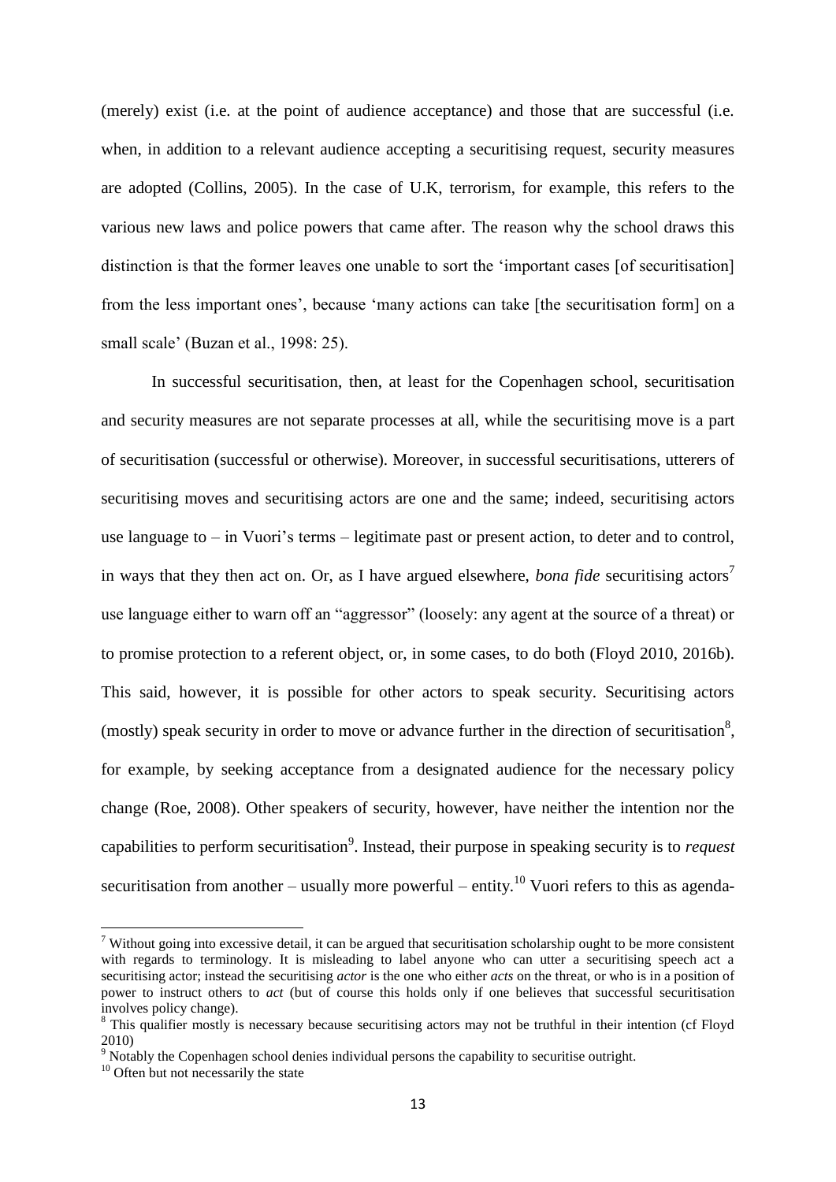(merely) exist (i.e. at the point of audience acceptance) and those that are successful (i.e. when, in addition to a relevant audience accepting a securitising request, security measures are adopted (Collins, 2005). In the case of U.K, terrorism, for example, this refers to the various new laws and police powers that came after. The reason why the school draws this distinction is that the former leaves one unable to sort the 'important cases [of securitisation] from the less important ones', because 'many actions can take [the securitisation form] on a small scale' (Buzan et al., 1998: 25).

In successful securitisation, then, at least for the Copenhagen school, securitisation and security measures are not separate processes at all, while the securitising move is a part of securitisation (successful or otherwise). Moreover, in successful securitisations, utterers of securitising moves and securitising actors are one and the same; indeed, securitising actors use language to – in Vuori's terms – legitimate past or present action, to deter and to control, in ways that they then act on. Or, as I have argued elsewhere, *bona fide* securitising actors<sup>7</sup> use language either to warn off an "aggressor" (loosely: any agent at the source of a threat) or to promise protection to a referent object, or, in some cases, to do both (Floyd 2010, 2016b). This said, however, it is possible for other actors to speak security. Securitising actors (mostly) speak security in order to move or advance further in the direction of securitisation<sup>8</sup>, for example, by seeking acceptance from a designated audience for the necessary policy change (Roe, 2008). Other speakers of security, however, have neither the intention nor the capabilities to perform securitisation<sup>9</sup>. Instead, their purpose in speaking security is to *request* securitisation from another – usually more powerful – entity.<sup>10</sup> Vuori refers to this as agenda-

 $\overline{a}$ 

 $<sup>7</sup>$  Without going into excessive detail, it can be argued that securitisation scholarship ought to be more consistent</sup> with regards to terminology. It is misleading to label anyone who can utter a securitising speech act a securitising actor; instead the securitising *actor* is the one who either *acts* on the threat, or who is in a position of power to instruct others to *act* (but of course this holds only if one believes that successful securitisation involves policy change).

<sup>&</sup>lt;sup>8</sup> This qualifier mostly is necessary because securitising actors may not be truthful in their intention (cf Floyd 2010)

<sup>&</sup>lt;sup>9</sup> Notably the Copenhagen school denies individual persons the capability to securitise outright.

 $10$  Often but not necessarily the state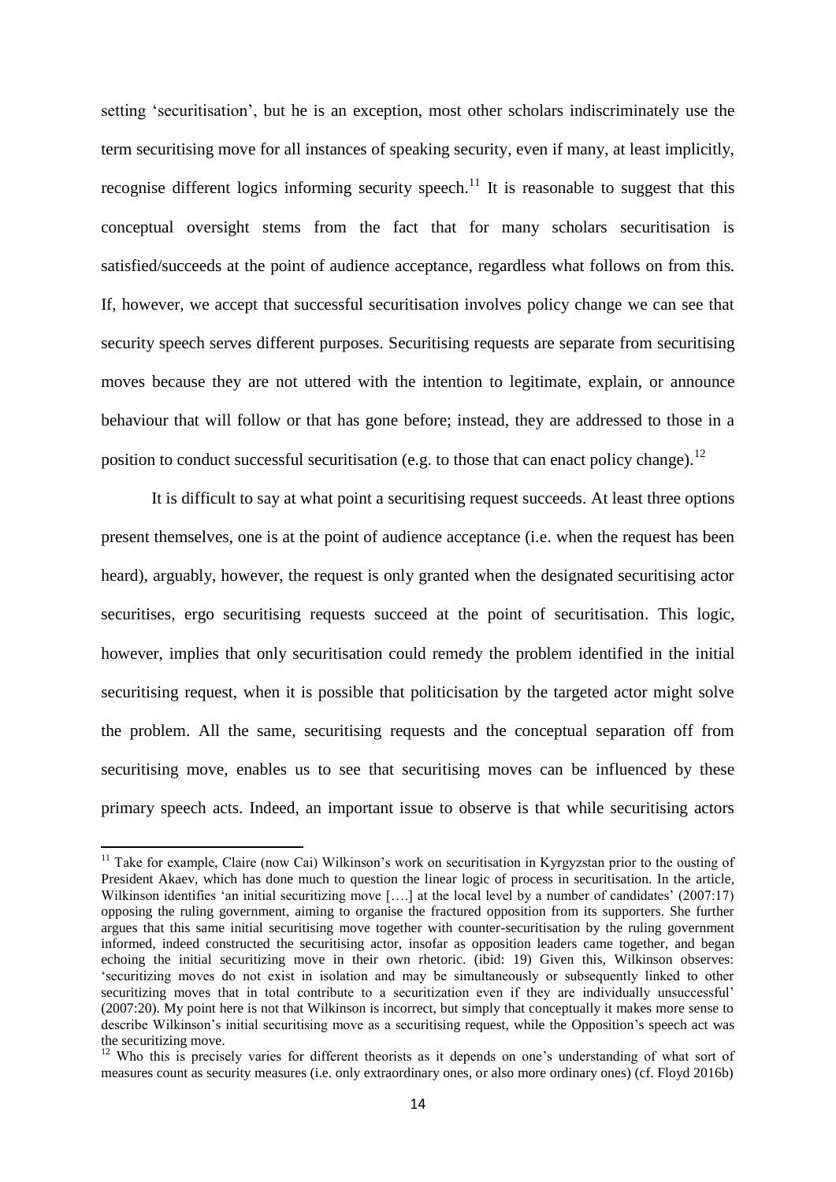setting 'securitisation', but he is an exception, most other scholars indiscriminately use the term securitising move for all instances of speaking security, even if many, at least implicitly, recognise different logics informing security speech.<sup>11</sup> It is reasonable to suggest that this conceptual oversight stems from the fact that for many scholars securitisation is satisfied/succeeds at the point of audience acceptance, regardless what follows on from this. If, however, we accept that successful securitisation involves policy change we can see that security speech serves different purposes. Securitising requests are separate from securitising moves because they are not uttered with the intention to legitimate, explain, or announce behaviour that will follow or that has gone before; instead, they are addressed to those in a position to conduct successful securitisation (e.g. to those that can enact policy change).<sup>12</sup>

It is difficult to say at what point a securitising request succeeds. At least three options present themselves, one is at the point of audience acceptance (i.e. when the request has been heard), arguably, however, the request is only granted when the designated securitising actor securitises, ergo securitising requests succeed at the point of securitisation. This logic, however, implies that only securitisation could remedy the problem identified in the initial securitising request, when it is possible that politicisation by the targeted actor might solve the problem. All the same, securitising requests and the conceptual separation off from securitising move, enables us to see that securitising moves can be influenced by these primary speech acts. Indeed, an important issue to observe is that while securitising actors

 $11$  Take for example, Claire (now Cai) Wilkinson's work on securitisation in Kyrgyzstan prior to the ousting of President Akaev, which has done much to question the linear logic of process in securitisation. In the article, Wilkinson identifies 'an initial securitizing move [...] at the local level by a number of candidates' (2007:17) opposing the ruling government, aiming to organise the fractured opposition from its supporters. She further argues that this same initial securitising move together with counter-securitisation by the ruling government informed, indeed constructed the securitising actor, insofar as opposition leaders came together, and began echoing the initial securitizing move in their own rhetoric. (ibid: 19) Given this, Wilkinson observes: 'securitizing moves do not exist in isolation and may be simultaneously or subsequently linked to other securitizing moves that in total contribute to a securitization even if they are individually unsuccessful' (2007:20). My point here is not that Wilkinson is incorrect, but simply that conceptually it makes more sense to describe Wilkinson's initial securitising move as a securitising request, while the Opposition's speech act was the securitizing move.

<sup>&</sup>lt;sup>12</sup> Who this is precisely varies for different theorists as it depends on one's understanding of what sort of measures count as security measures (i.e. only extraordinary ones, or also more ordinary ones) (cf. Floyd 2016b)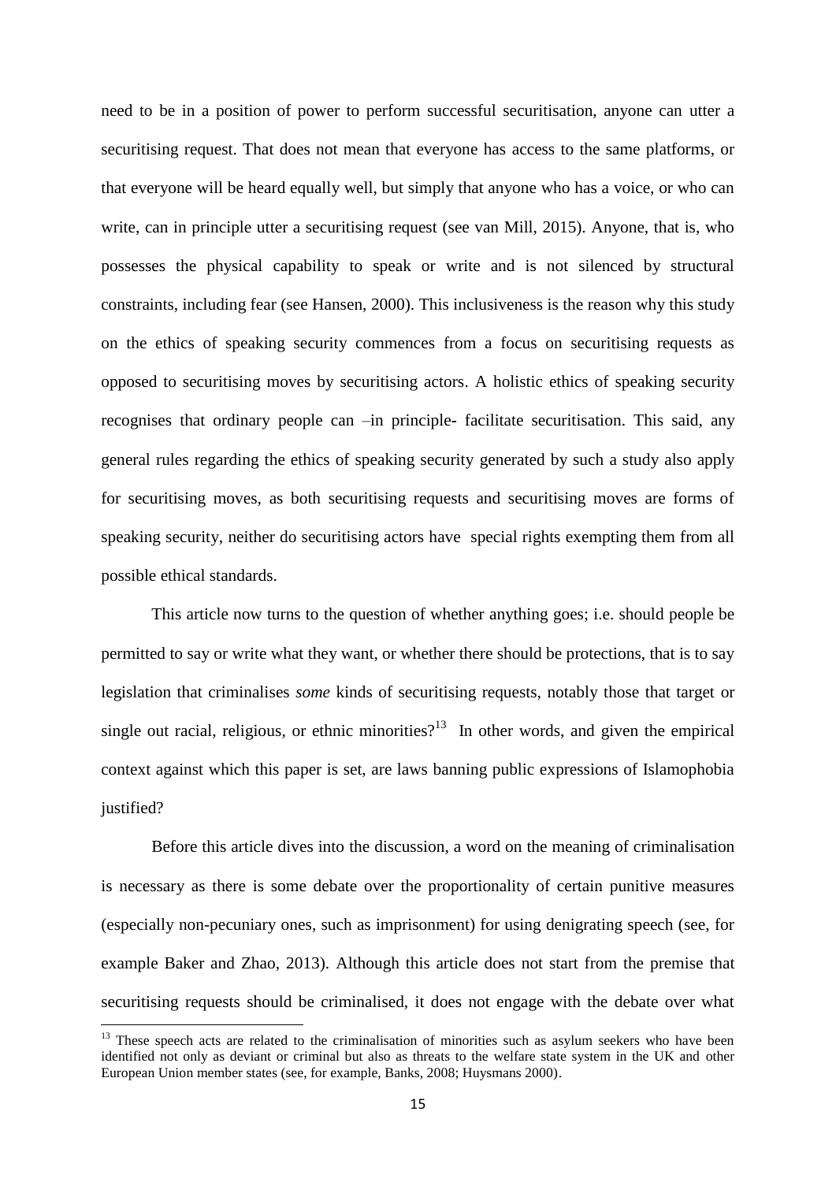need to be in a position of power to perform successful securitisation, anyone can utter a securitising request. That does not mean that everyone has access to the same platforms, or that everyone will be heard equally well, but simply that anyone who has a voice, or who can write, can in principle utter a securitising request (see van Mill, 2015). Anyone, that is, who possesses the physical capability to speak or write and is not silenced by structural constraints, including fear (see Hansen, 2000). This inclusiveness is the reason why this study on the ethics of speaking security commences from a focus on securitising requests as opposed to securitising moves by securitising actors. A holistic ethics of speaking security recognises that ordinary people can –in principle**-** facilitate securitisation. This said, any general rules regarding the ethics of speaking security generated by such a study also apply for securitising moves, as both securitising requests and securitising moves are forms of speaking security, neither do securitising actors have special rights exempting them from all possible ethical standards.

This article now turns to the question of whether anything goes; i.e. should people be permitted to say or write what they want, or whether there should be protections, that is to say legislation that criminalises *some* kinds of securitising requests, notably those that target or single out racial, religious, or ethnic minorities?<sup>13</sup> In other words, and given the empirical context against which this paper is set, are laws banning public expressions of Islamophobia justified?

Before this article dives into the discussion, a word on the meaning of criminalisation is necessary as there is some debate over the proportionality of certain punitive measures (especially non-pecuniary ones, such as imprisonment) for using denigrating speech (see, for example Baker and Zhao, 2013). Although this article does not start from the premise that securitising requests should be criminalised, it does not engage with the debate over what

1

 $13$  These speech acts are related to the criminalisation of minorities such as asylum seekers who have been identified not only as deviant or criminal but also as threats to the welfare state system in the UK and other European Union member states (see, for example, Banks, 2008; Huysmans 2000).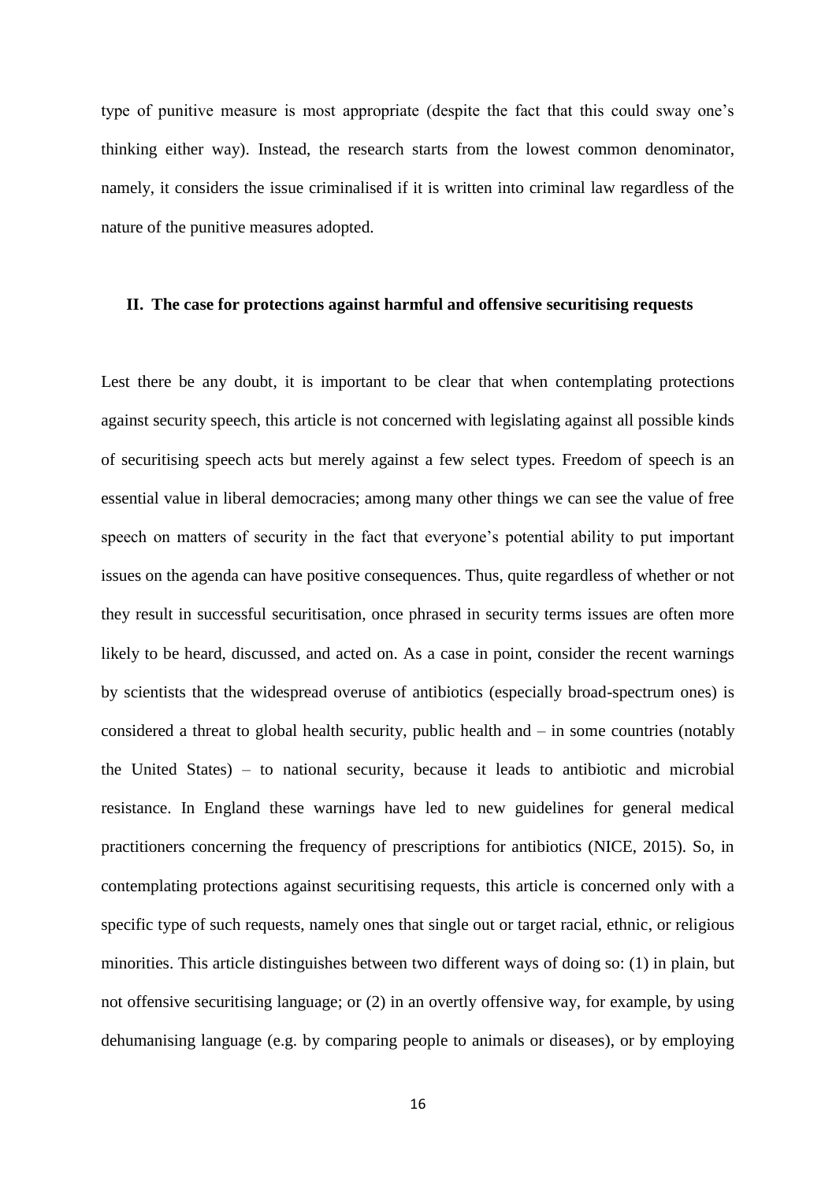type of punitive measure is most appropriate (despite the fact that this could sway one's thinking either way). Instead, the research starts from the lowest common denominator, namely, it considers the issue criminalised if it is written into criminal law regardless of the nature of the punitive measures adopted.

#### **II. The case for protections against harmful and offensive securitising requests**

Lest there be any doubt, it is important to be clear that when contemplating protections against security speech, this article is not concerned with legislating against all possible kinds of securitising speech acts but merely against a few select types. Freedom of speech is an essential value in liberal democracies; among many other things we can see the value of free speech on matters of security in the fact that everyone's potential ability to put important issues on the agenda can have positive consequences. Thus, quite regardless of whether or not they result in successful securitisation, once phrased in security terms issues are often more likely to be heard, discussed, and acted on. As a case in point, consider the recent warnings by scientists that the widespread overuse of antibiotics (especially broad-spectrum ones) is considered a threat to global health security, public health and – in some countries (notably the United States) – to national security, because it leads to antibiotic and microbial resistance. In England these warnings have led to new guidelines for general medical practitioners concerning the frequency of prescriptions for antibiotics (NICE, 2015). So, in contemplating protections against securitising requests, this article is concerned only with a specific type of such requests, namely ones that single out or target racial, ethnic, or religious minorities. This article distinguishes between two different ways of doing so: (1) in plain, but not offensive securitising language; or (2) in an overtly offensive way, for example, by using dehumanising language (e.g. by comparing people to animals or diseases), or by employing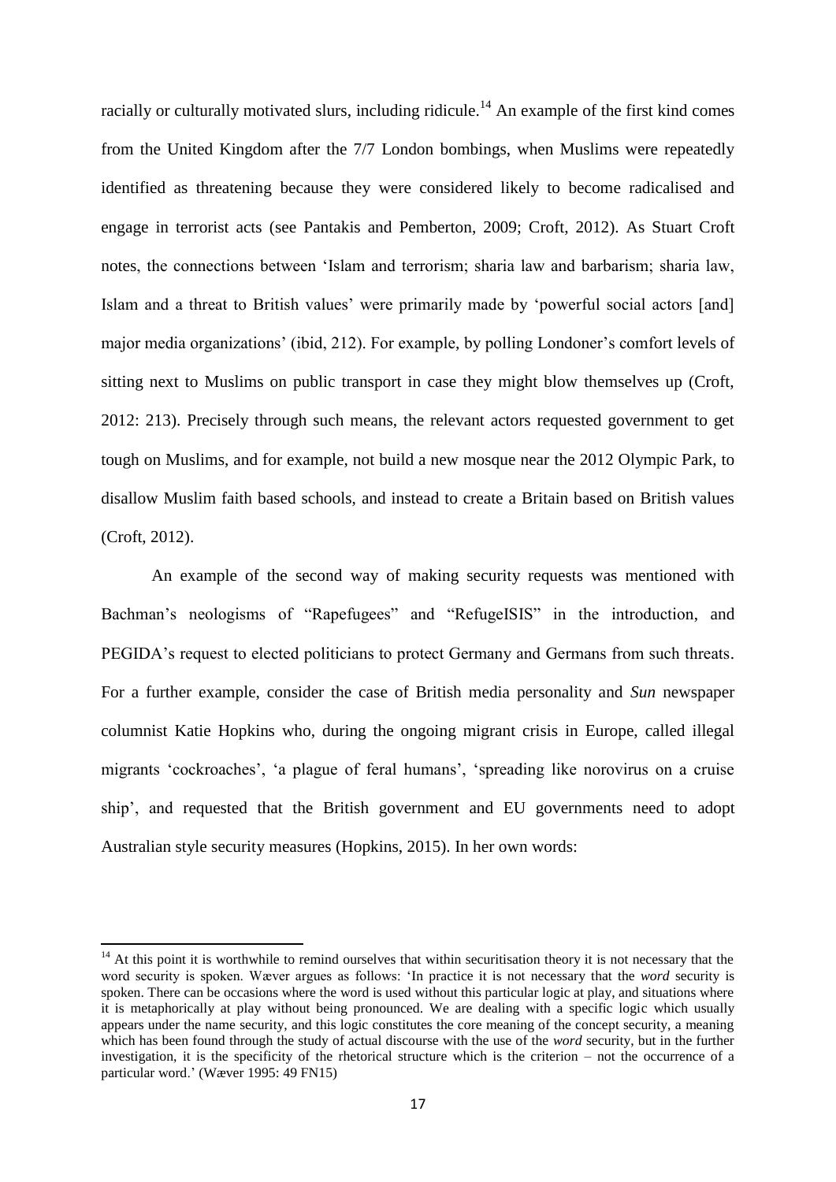racially or culturally motivated slurs, including ridicule.<sup>14</sup> An example of the first kind comes from the United Kingdom after the 7/7 London bombings, when Muslims were repeatedly identified as threatening because they were considered likely to become radicalised and engage in terrorist acts (see Pantakis and Pemberton, 2009; Croft, 2012). As Stuart Croft notes, the connections between 'Islam and terrorism; sharia law and barbarism; sharia law, Islam and a threat to British values' were primarily made by 'powerful social actors [and] major media organizations' (ibid, 212). For example, by polling Londoner's comfort levels of sitting next to Muslims on public transport in case they might blow themselves up (Croft, 2012: 213). Precisely through such means, the relevant actors requested government to get tough on Muslims, and for example, not build a new mosque near the 2012 Olympic Park, to disallow Muslim faith based schools, and instead to create a Britain based on British values (Croft, 2012).

An example of the second way of making security requests was mentioned with Bachman's neologisms of "Rapefugees" and "RefugeISIS" in the introduction, and PEGIDA's request to elected politicians to protect Germany and Germans from such threats. For a further example, consider the case of British media personality and *Sun* newspaper columnist Katie Hopkins who, during the ongoing migrant crisis in Europe, called illegal migrants 'cockroaches', 'a plague of feral humans', 'spreading like norovirus on a cruise ship', and requested that the British government and EU governments need to adopt Australian style security measures (Hopkins, 2015). In her own words:

 $14$  At this point it is worthwhile to remind ourselves that within securitisation theory it is not necessary that the word security is spoken. Wæver argues as follows: 'In practice it is not necessary that the *word* security is spoken. There can be occasions where the word is used without this particular logic at play, and situations where it is metaphorically at play without being pronounced. We are dealing with a specific logic which usually appears under the name security, and this logic constitutes the core meaning of the concept security, a meaning which has been found through the study of actual discourse with the use of the *word* security, but in the further investigation, it is the specificity of the rhetorical structure which is the criterion – not the occurrence of a particular word.' (Wæver 1995: 49 FN15)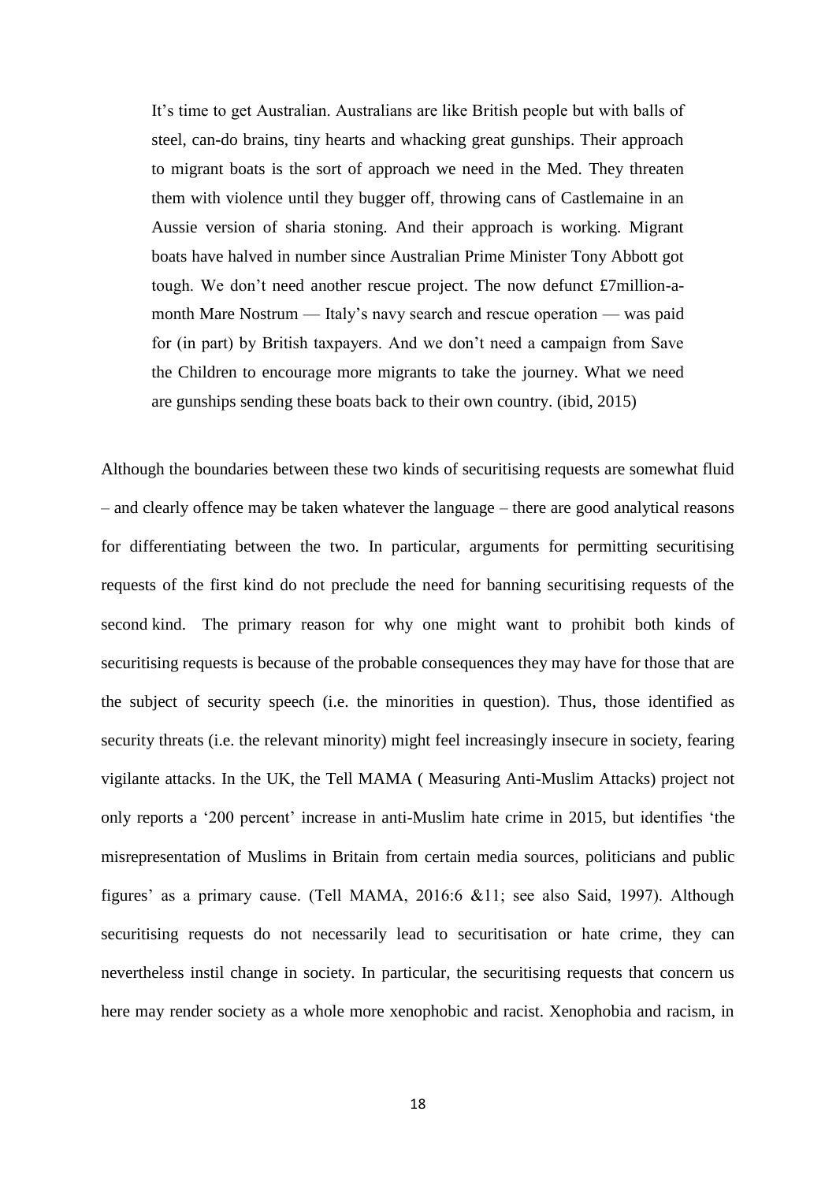It's time to get Australian. Australians are like British people but with balls of steel, can-do brains, tiny hearts and whacking great gunships. Their approach to migrant boats is the sort of approach we need in the Med. They threaten them with violence until they bugger off, throwing cans of Castlemaine in an Aussie version of sharia stoning. And their approach is working. Migrant boats have halved in number since Australian Prime Minister Tony Abbott got tough. We don't need another rescue project. The now defunct £7million-amonth Mare Nostrum — Italy's navy search and rescue operation — was paid for (in part) by British taxpayers. And we don't need a campaign from Save the Children to encourage more migrants to take the journey. What we need are gunships sending these boats back to their own country. (ibid, 2015)

Although the boundaries between these two kinds of securitising requests are somewhat fluid – and clearly offence may be taken whatever the language – there are good analytical reasons for differentiating between the two. In particular, arguments for permitting securitising requests of the first kind do not preclude the need for banning securitising requests of the second kind. The primary reason for why one might want to prohibit both kinds of securitising requests is because of the probable consequences they may have for those that are the subject of security speech (i.e. the minorities in question). Thus, those identified as security threats (i.e. the relevant minority) might feel increasingly insecure in society, fearing vigilante attacks. In the UK, the Tell MAMA ( Measuring Anti-Muslim Attacks) project not only reports a '200 percent' increase in anti-Muslim hate crime in 2015, but identifies 'the misrepresentation of Muslims in Britain from certain media sources, politicians and public figures' as a primary cause. (Tell MAMA, 2016:6 &11; see also Said, 1997). Although securitising requests do not necessarily lead to securitisation or hate crime, they can nevertheless instil change in society. In particular, the securitising requests that concern us here may render society as a whole more xenophobic and racist. Xenophobia and racism, in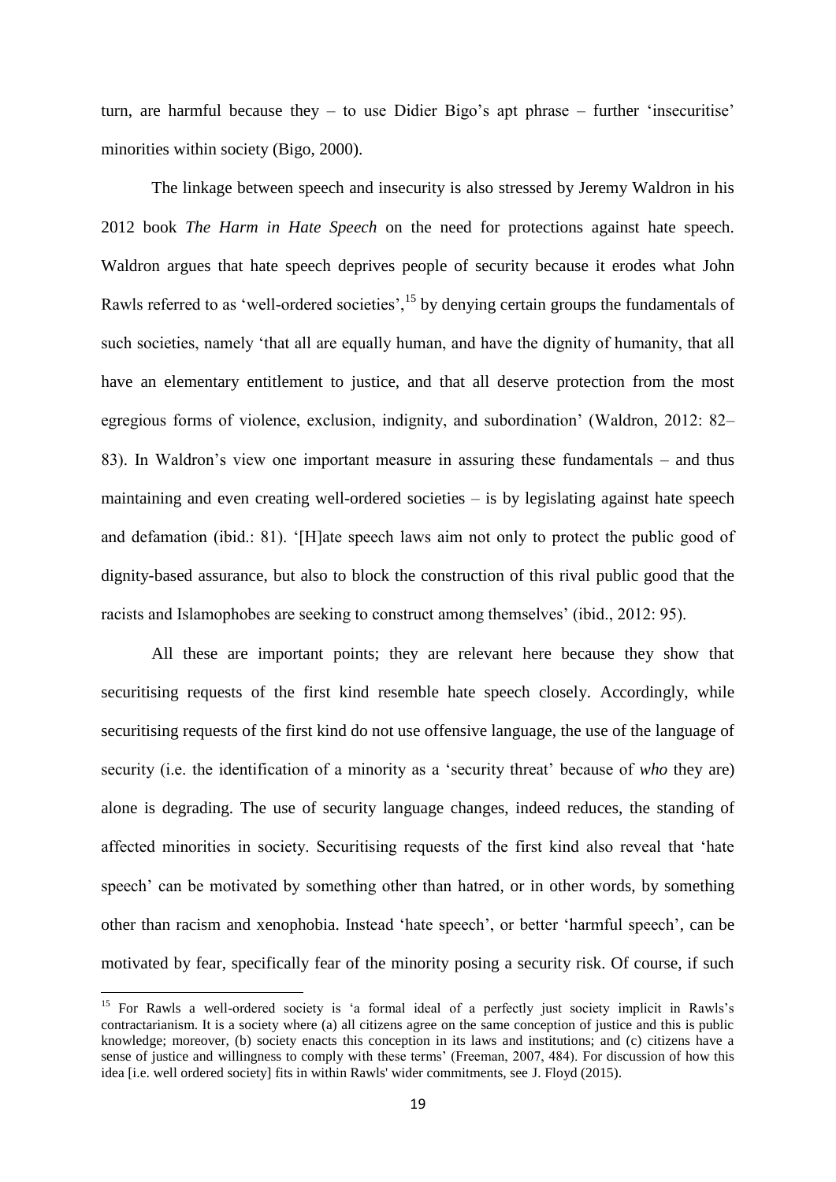turn, are harmful because they  $-$  to use Didier Bigo's apt phrase  $-$  further 'insecuritise' minorities within society (Bigo, 2000).

The linkage between speech and insecurity is also stressed by Jeremy Waldron in his 2012 book *The Harm in Hate Speech* on the need for protections against hate speech. Waldron argues that hate speech deprives people of security because it erodes what John Rawls referred to as 'well-ordered societies',<sup>15</sup> by denying certain groups the fundamentals of such societies, namely 'that all are equally human, and have the dignity of humanity, that all have an elementary entitlement to justice, and that all deserve protection from the most egregious forms of violence, exclusion, indignity, and subordination' (Waldron, 2012: 82– 83). In Waldron's view one important measure in assuring these fundamentals – and thus maintaining and even creating well-ordered societies – is by legislating against hate speech and defamation (ibid.: 81). '[H]ate speech laws aim not only to protect the public good of dignity-based assurance, but also to block the construction of this rival public good that the racists and Islamophobes are seeking to construct among themselves' (ibid., 2012: 95).

All these are important points; they are relevant here because they show that securitising requests of the first kind resemble hate speech closely. Accordingly, while securitising requests of the first kind do not use offensive language, the use of the language of security (i.e. the identification of a minority as a 'security threat' because of *who* they are) alone is degrading. The use of security language changes, indeed reduces, the standing of affected minorities in society. Securitising requests of the first kind also reveal that 'hate speech' can be motivated by something other than hatred, or in other words, by something other than racism and xenophobia. Instead 'hate speech', or better 'harmful speech', can be motivated by fear, specifically fear of the minority posing a security risk. Of course, if such

<sup>&</sup>lt;sup>15</sup> For Rawls a well-ordered society is 'a formal ideal of a perfectly just society implicit in Rawls's contractarianism. It is a society where (a) all citizens agree on the same conception of justice and this is public knowledge; moreover, (b) society enacts this conception in its laws and institutions; and (c) citizens have a sense of justice and willingness to comply with these terms' (Freeman, 2007, 484). For discussion of how this idea [i.e. well ordered society] fits in within Rawls' wider commitments, see J. Floyd (2015).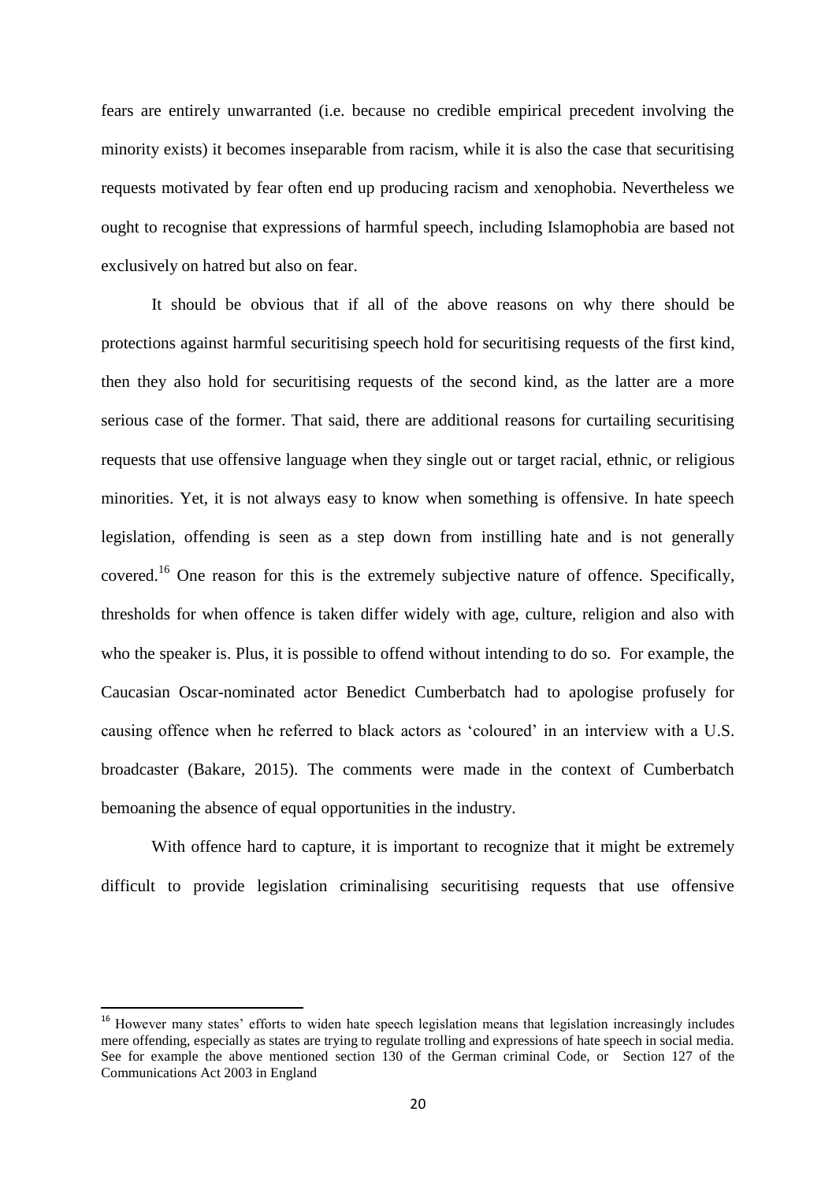fears are entirely unwarranted (i.e. because no credible empirical precedent involving the minority exists) it becomes inseparable from racism, while it is also the case that securitising requests motivated by fear often end up producing racism and xenophobia. Nevertheless we ought to recognise that expressions of harmful speech, including Islamophobia are based not exclusively on hatred but also on fear.

It should be obvious that if all of the above reasons on why there should be protections against harmful securitising speech hold for securitising requests of the first kind, then they also hold for securitising requests of the second kind, as the latter are a more serious case of the former. That said, there are additional reasons for curtailing securitising requests that use offensive language when they single out or target racial, ethnic, or religious minorities. Yet, it is not always easy to know when something is offensive. In hate speech legislation, offending is seen as a step down from instilling hate and is not generally covered.<sup>16</sup> One reason for this is the extremely subjective nature of offence. Specifically, thresholds for when offence is taken differ widely with age, culture, religion and also with who the speaker is. Plus, it is possible to offend without intending to do so. For example, the Caucasian Oscar-nominated actor Benedict Cumberbatch had to apologise profusely for causing offence when he referred to black actors as 'coloured' in an interview with a U.S. broadcaster (Bakare, 2015). The comments were made in the context of Cumberbatch bemoaning the absence of equal opportunities in the industry.

With offence hard to capture, it is important to recognize that it might be extremely difficult to provide legislation criminalising securitising requests that use offensive

<sup>&</sup>lt;sup>16</sup> However many states' efforts to widen hate speech legislation means that legislation increasingly includes mere offending, especially as states are trying to regulate trolling and expressions of hate speech in social media. See for example the above mentioned section 130 of the German criminal Code, or Section 127 of the Communications Act 2003 in England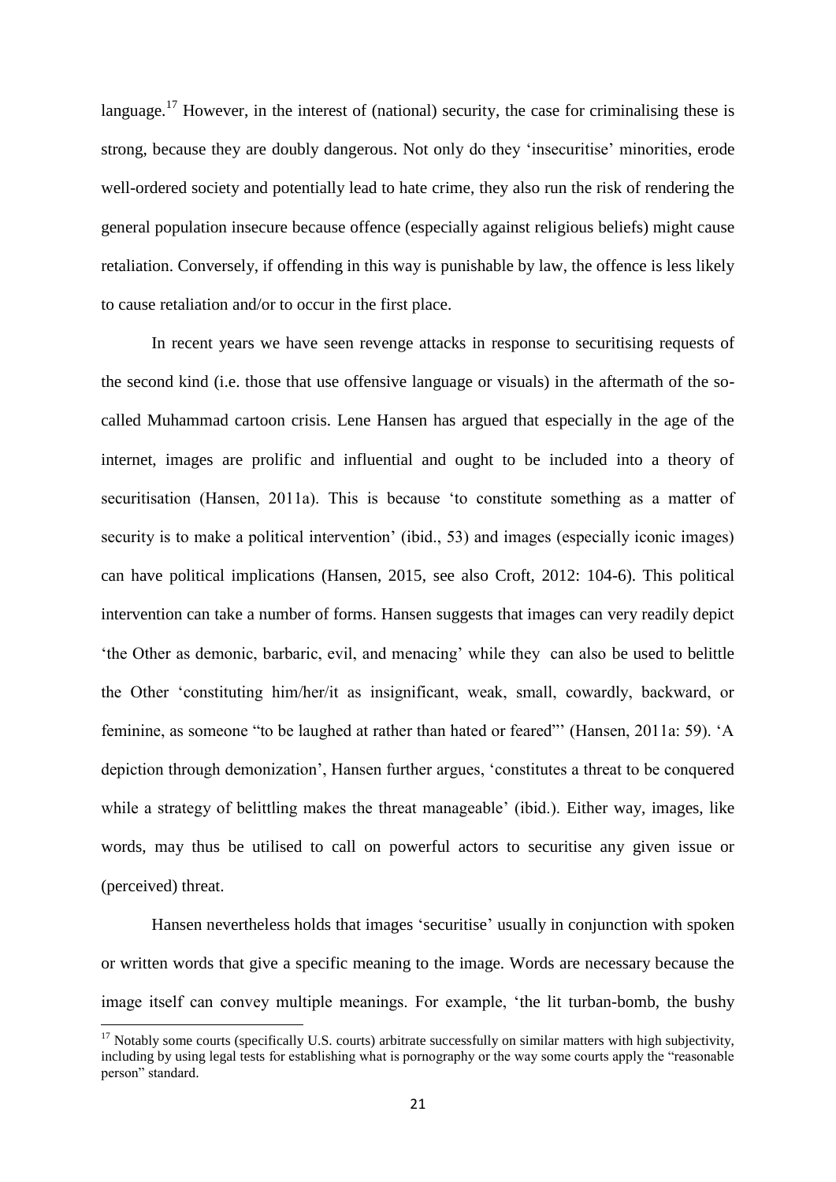language.<sup>17</sup> However, in the interest of (national) security, the case for criminalising these is strong, because they are doubly dangerous. Not only do they 'insecuritise' minorities, erode well-ordered society and potentially lead to hate crime, they also run the risk of rendering the general population insecure because offence (especially against religious beliefs) might cause retaliation. Conversely, if offending in this way is punishable by law, the offence is less likely to cause retaliation and/or to occur in the first place.

In recent years we have seen revenge attacks in response to securitising requests of the second kind (i.e. those that use offensive language or visuals) in the aftermath of the socalled Muhammad cartoon crisis. Lene Hansen has argued that especially in the age of the internet, images are prolific and influential and ought to be included into a theory of securitisation (Hansen, 2011a). This is because 'to constitute something as a matter of security is to make a political intervention' (ibid., 53) and images (especially iconic images) can have political implications (Hansen, 2015, see also Croft, 2012: 104-6). This political intervention can take a number of forms. Hansen suggests that images can very readily depict 'the Other as demonic, barbaric, evil, and menacing' while they can also be used to belittle the Other 'constituting him/her/it as insignificant, weak, small, cowardly, backward, or feminine, as someone "to be laughed at rather than hated or feared"' (Hansen, 2011a: 59). 'A depiction through demonization', Hansen further argues, 'constitutes a threat to be conquered while a strategy of belittling makes the threat manageable' (ibid.). Either way, images, like words, may thus be utilised to call on powerful actors to securitise any given issue or (perceived) threat.

Hansen nevertheless holds that images 'securitise' usually in conjunction with spoken or written words that give a specific meaning to the image. Words are necessary because the image itself can convey multiple meanings. For example, 'the lit turban-bomb, the bushy

1

 $17$  Notably some courts (specifically U.S. courts) arbitrate successfully on similar matters with high subjectivity, including by using legal tests for establishing what is pornography or the way some courts apply the "reasonable person" standard.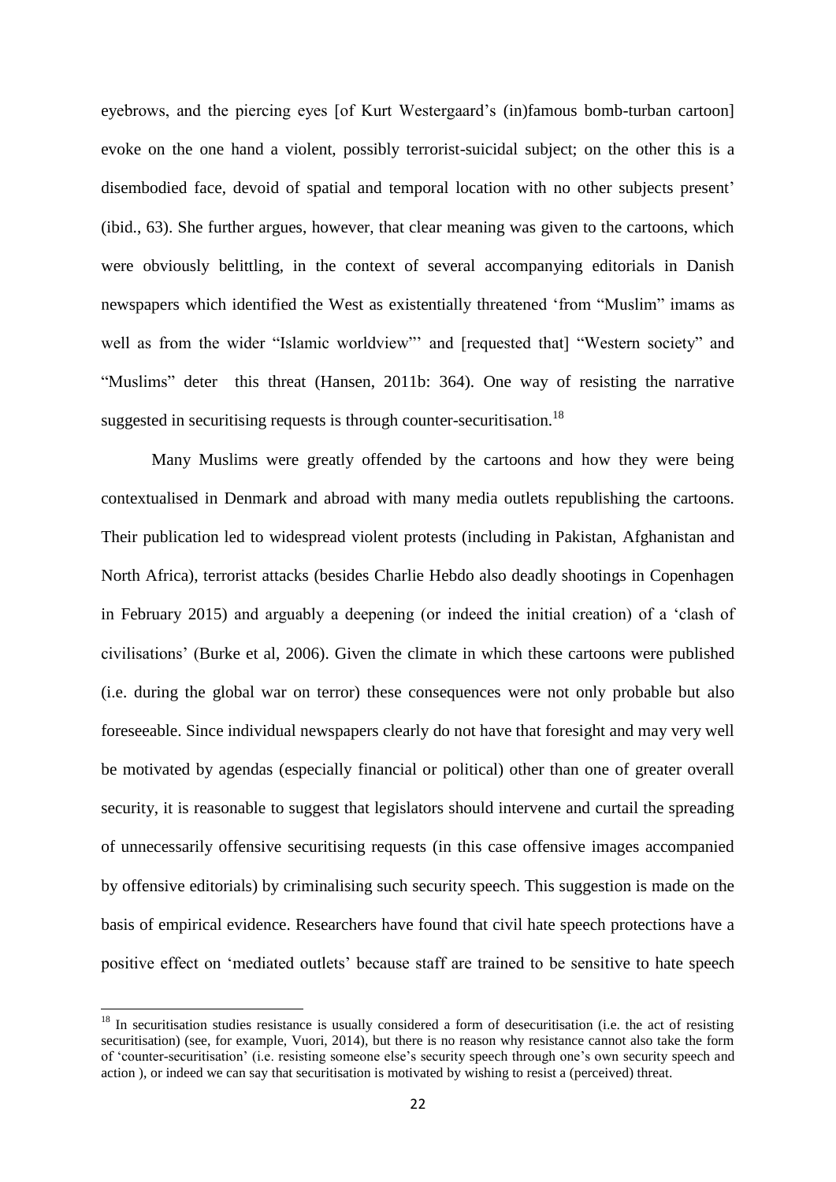eyebrows, and the piercing eyes [of Kurt Westergaard's (in)famous bomb-turban cartoon] evoke on the one hand a violent, possibly terrorist-suicidal subject; on the other this is a disembodied face, devoid of spatial and temporal location with no other subjects present' (ibid., 63). She further argues, however, that clear meaning was given to the cartoons, which were obviously belittling, in the context of several accompanying editorials in Danish newspapers which identified the West as existentially threatened 'from "Muslim" imams as well as from the wider "Islamic worldview"' and [requested that] "Western society" and "Muslims" deter this threat (Hansen, 2011b: 364). One way of resisting the narrative suggested in securitising requests is through counter-securitisation.<sup>18</sup>

Many Muslims were greatly offended by the cartoons and how they were being contextualised in Denmark and abroad with many media outlets republishing the cartoons. Their publication led to widespread violent protests (including in Pakistan, Afghanistan and North Africa), terrorist attacks (besides Charlie Hebdo also deadly shootings in Copenhagen in February 2015) and arguably a deepening (or indeed the initial creation) of a 'clash of civilisations' (Burke et al, 2006). Given the climate in which these cartoons were published (i.e. during the global war on terror) these consequences were not only probable but also foreseeable. Since individual newspapers clearly do not have that foresight and may very well be motivated by agendas (especially financial or political) other than one of greater overall security, it is reasonable to suggest that legislators should intervene and curtail the spreading of unnecessarily offensive securitising requests (in this case offensive images accompanied by offensive editorials) by criminalising such security speech. This suggestion is made on the basis of empirical evidence. Researchers have found that civil hate speech protections have a positive effect on 'mediated outlets' because staff are trained to be sensitive to hate speech

 $18$  In securitisation studies resistance is usually considered a form of desecuritisation (i.e. the act of resisting securitisation) (see, for example, Vuori, 2014), but there is no reason why resistance cannot also take the form of 'counter-securitisation' (i.e. resisting someone else's security speech through one's own security speech and action ), or indeed we can say that securitisation is motivated by wishing to resist a (perceived) threat.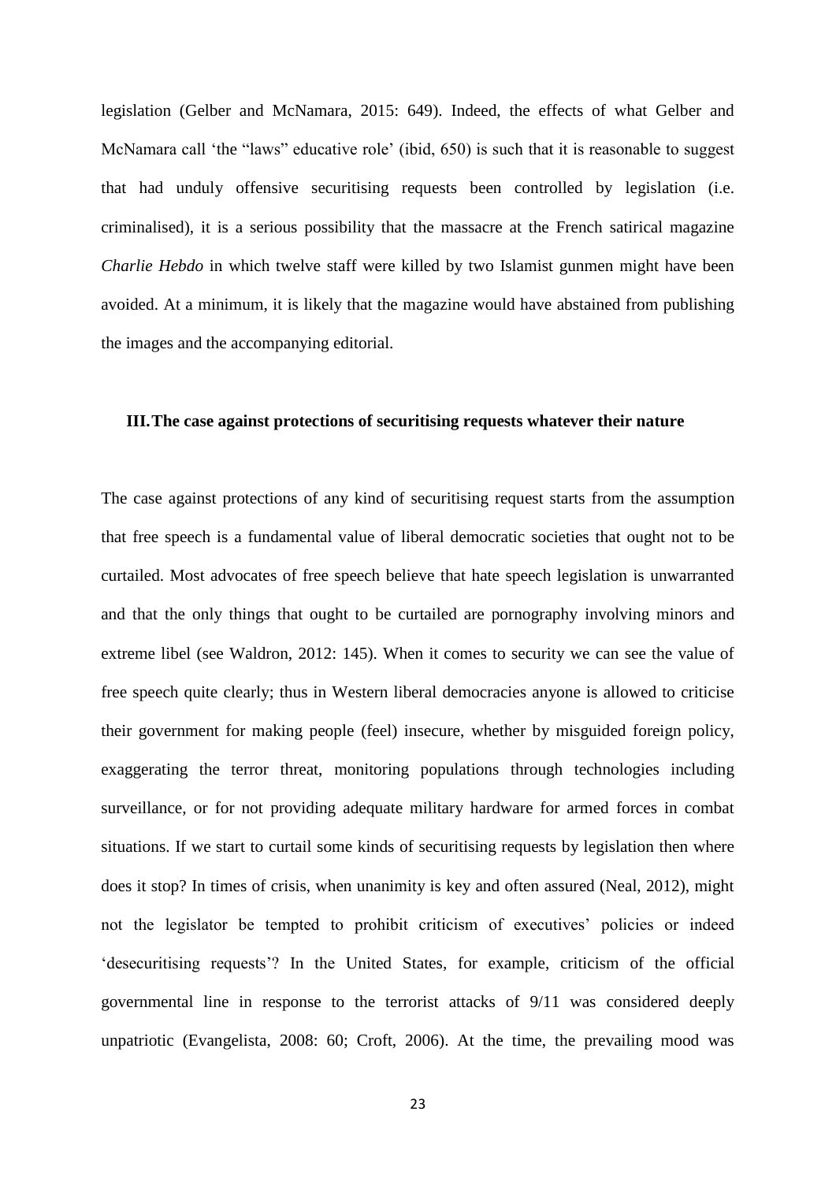legislation (Gelber and McNamara, 2015: 649). Indeed, the effects of what Gelber and McNamara call 'the "laws" educative role' (ibid, 650) is such that it is reasonable to suggest that had unduly offensive securitising requests been controlled by legislation (i.e. criminalised), it is a serious possibility that the massacre at the French satirical magazine *Charlie Hebdo* in which twelve staff were killed by two Islamist gunmen might have been avoided. At a minimum, it is likely that the magazine would have abstained from publishing the images and the accompanying editorial.

#### **III.The case against protections of securitising requests whatever their nature**

The case against protections of any kind of securitising request starts from the assumption that free speech is a fundamental value of liberal democratic societies that ought not to be curtailed. Most advocates of free speech believe that hate speech legislation is unwarranted and that the only things that ought to be curtailed are pornography involving minors and extreme libel (see Waldron, 2012: 145). When it comes to security we can see the value of free speech quite clearly; thus in Western liberal democracies anyone is allowed to criticise their government for making people (feel) insecure, whether by misguided foreign policy, exaggerating the terror threat, monitoring populations through technologies including surveillance, or for not providing adequate military hardware for armed forces in combat situations. If we start to curtail some kinds of securitising requests by legislation then where does it stop? In times of crisis, when unanimity is key and often assured (Neal, 2012), might not the legislator be tempted to prohibit criticism of executives' policies or indeed 'desecuritising requests'? In the United States, for example, criticism of the official governmental line in response to the terrorist attacks of 9/11 was considered deeply unpatriotic (Evangelista, 2008: 60; Croft, 2006). At the time, the prevailing mood was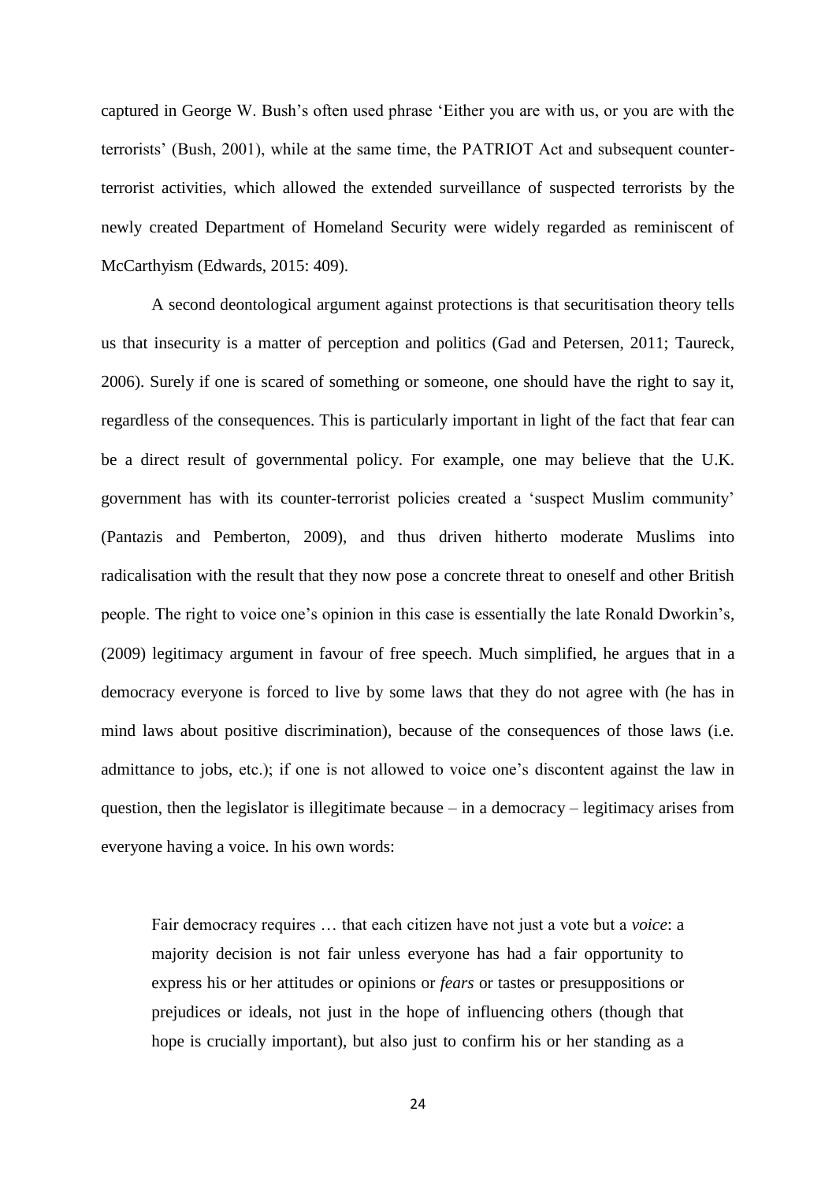captured in George W. Bush's often used phrase 'Either you are with us, or you are with the terrorists' (Bush, 2001), while at the same time, the PATRIOT Act and subsequent counterterrorist activities, which allowed the extended surveillance of suspected terrorists by the newly created Department of Homeland Security were widely regarded as reminiscent of McCarthyism (Edwards, 2015: 409).

A second deontological argument against protections is that securitisation theory tells us that insecurity is a matter of perception and politics (Gad and Petersen, 2011; Taureck, 2006). Surely if one is scared of something or someone, one should have the right to say it, regardless of the consequences. This is particularly important in light of the fact that fear can be a direct result of governmental policy. For example, one may believe that the U.K. government has with its counter-terrorist policies created a 'suspect Muslim community' (Pantazis and Pemberton, 2009), and thus driven hitherto moderate Muslims into radicalisation with the result that they now pose a concrete threat to oneself and other British people. The right to voice one's opinion in this case is essentially the late Ronald Dworkin's, (2009) legitimacy argument in favour of free speech. Much simplified, he argues that in a democracy everyone is forced to live by some laws that they do not agree with (he has in mind laws about positive discrimination), because of the consequences of those laws (i.e. admittance to jobs, etc.); if one is not allowed to voice one's discontent against the law in question, then the legislator is illegitimate because – in a democracy – legitimacy arises from everyone having a voice. In his own words:

Fair democracy requires … that each citizen have not just a vote but a *voice*: a majority decision is not fair unless everyone has had a fair opportunity to express his or her attitudes or opinions or *fears* or tastes or presuppositions or prejudices or ideals, not just in the hope of influencing others (though that hope is crucially important), but also just to confirm his or her standing as a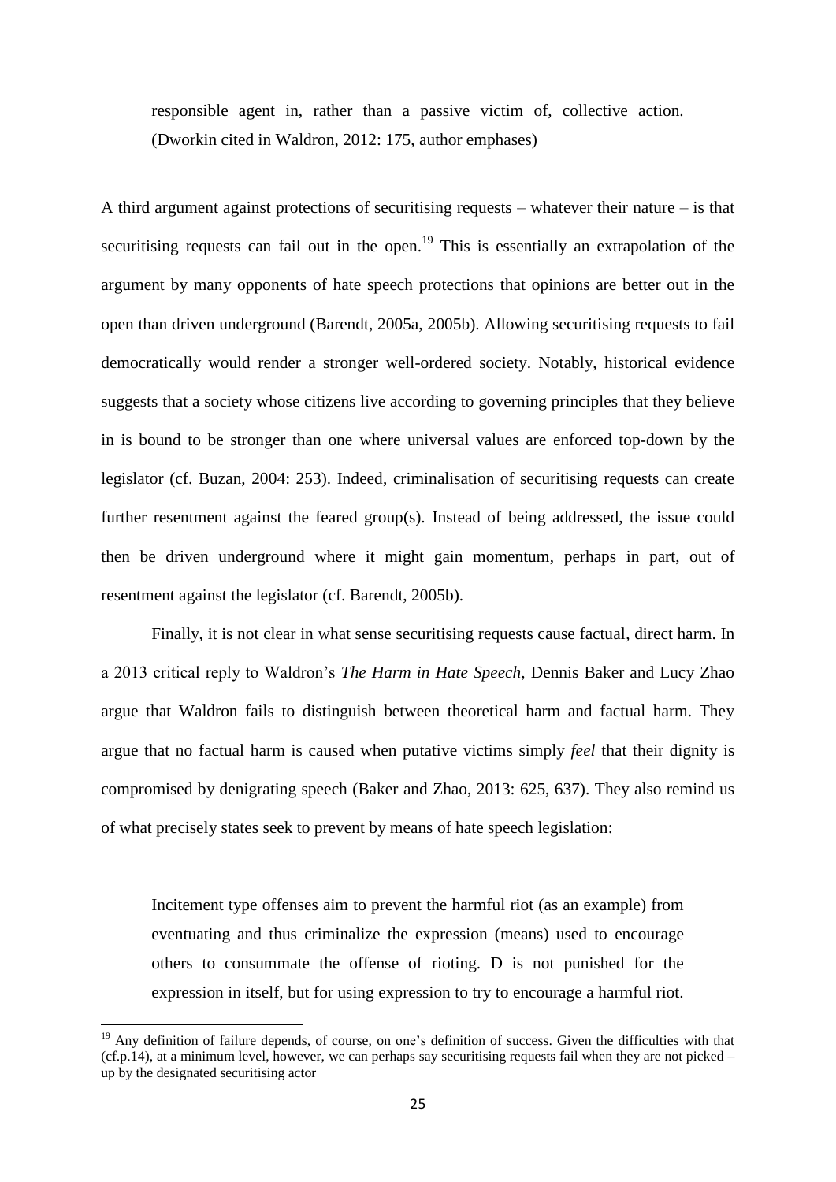responsible agent in, rather than a passive victim of, collective action. (Dworkin cited in Waldron, 2012: 175, author emphases)

A third argument against protections of securitising requests – whatever their nature – is that securitising requests can fail out in the open.<sup>19</sup> This is essentially an extrapolation of the argument by many opponents of hate speech protections that opinions are better out in the open than driven underground (Barendt, 2005a, 2005b). Allowing securitising requests to fail democratically would render a stronger well-ordered society. Notably, historical evidence suggests that a society whose citizens live according to governing principles that they believe in is bound to be stronger than one where universal values are enforced top-down by the legislator (cf. Buzan, 2004: 253). Indeed, criminalisation of securitising requests can create further resentment against the feared group(s). Instead of being addressed, the issue could then be driven underground where it might gain momentum, perhaps in part, out of resentment against the legislator (cf. Barendt, 2005b).

Finally, it is not clear in what sense securitising requests cause factual, direct harm. In a 2013 critical reply to Waldron's *The Harm in Hate Speech*, Dennis Baker and Lucy Zhao argue that Waldron fails to distinguish between theoretical harm and factual harm. They argue that no factual harm is caused when putative victims simply *feel* that their dignity is compromised by denigrating speech (Baker and Zhao, 2013: 625, 637). They also remind us of what precisely states seek to prevent by means of hate speech legislation:

Incitement type offenses aim to prevent the harmful riot (as an example) from eventuating and thus criminalize the expression (means) used to encourage others to consummate the offense of rioting. D is not punished for the expression in itself, but for using expression to try to encourage a harmful riot.

1

<sup>&</sup>lt;sup>19</sup> Any definition of failure depends, of course, on one's definition of success. Given the difficulties with that (cf.p.14), at a minimum level, however, we can perhaps say securitising requests fail when they are not picked – up by the designated securitising actor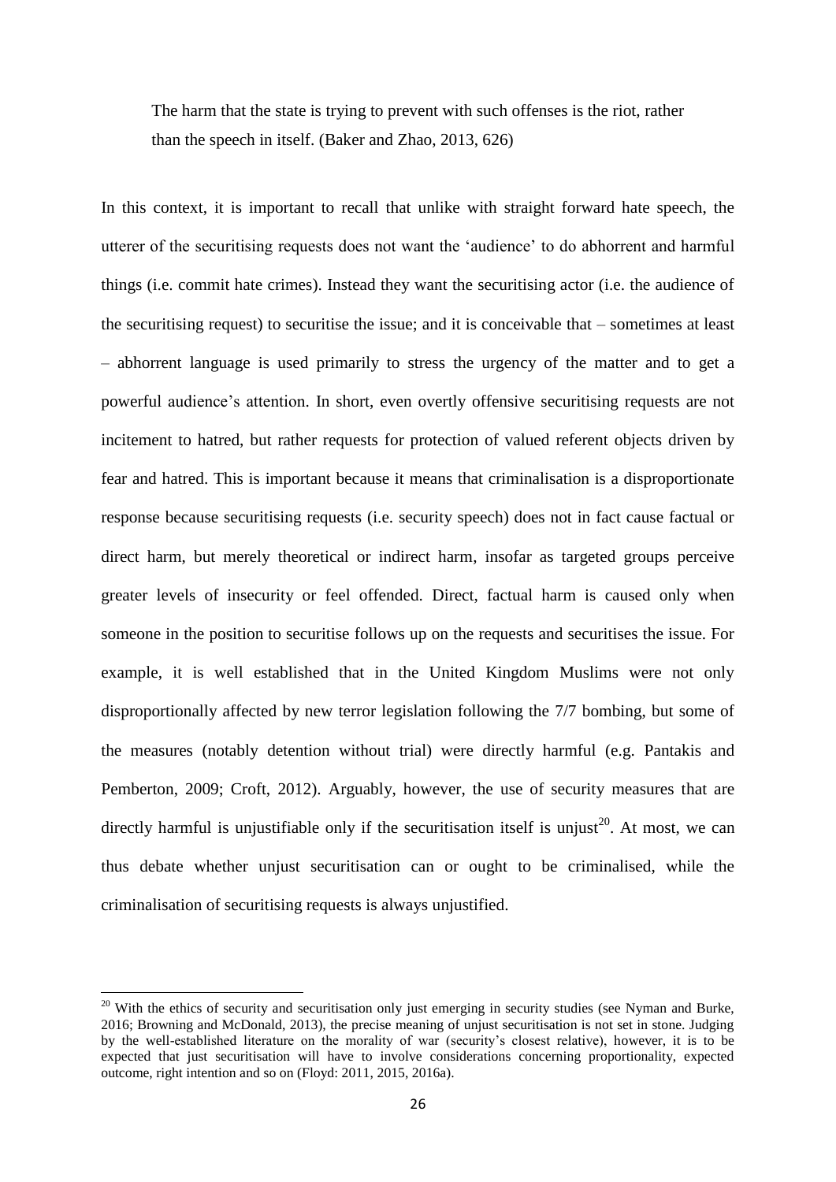The harm that the state is trying to prevent with such offenses is the riot, rather than the speech in itself. (Baker and Zhao, 2013, 626)

In this context, it is important to recall that unlike with straight forward hate speech, the utterer of the securitising requests does not want the 'audience' to do abhorrent and harmful things (i.e. commit hate crimes). Instead they want the securitising actor (i.e. the audience of the securitising request) to securitise the issue; and it is conceivable that – sometimes at least – abhorrent language is used primarily to stress the urgency of the matter and to get a powerful audience's attention. In short, even overtly offensive securitising requests are not incitement to hatred, but rather requests for protection of valued referent objects driven by fear and hatred. This is important because it means that criminalisation is a disproportionate response because securitising requests (i.e. security speech) does not in fact cause factual or direct harm, but merely theoretical or indirect harm, insofar as targeted groups perceive greater levels of insecurity or feel offended. Direct, factual harm is caused only when someone in the position to securitise follows up on the requests and securitises the issue. For example, it is well established that in the United Kingdom Muslims were not only disproportionally affected by new terror legislation following the 7/7 bombing, but some of the measures (notably detention without trial) were directly harmful (e.g. Pantakis and Pemberton, 2009; Croft, 2012). Arguably, however, the use of security measures that are directly harmful is unjustifiable only if the securitisation itself is unjust<sup>20</sup>. At most, we can thus debate whether unjust securitisation can or ought to be criminalised, while the criminalisation of securitising requests is always unjustified.

 $20$  With the ethics of security and securitisation only just emerging in security studies (see Nyman and Burke, 2016; Browning and McDonald, 2013), the precise meaning of unjust securitisation is not set in stone. Judging by the well-established literature on the morality of war (security's closest relative), however, it is to be expected that just securitisation will have to involve considerations concerning proportionality, expected outcome, right intention and so on (Floyd: 2011, 2015, 2016a).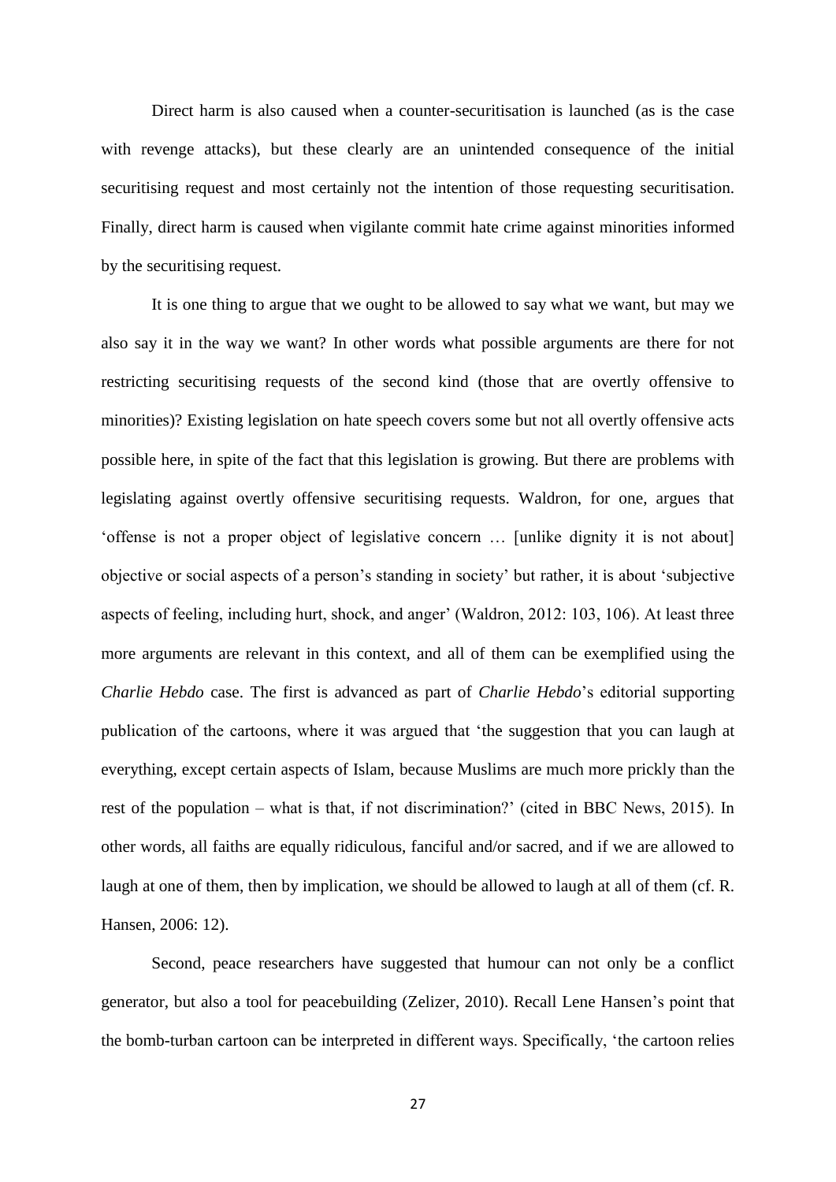Direct harm is also caused when a counter-securitisation is launched (as is the case with revenge attacks), but these clearly are an unintended consequence of the initial securitising request and most certainly not the intention of those requesting securitisation. Finally, direct harm is caused when vigilante commit hate crime against minorities informed by the securitising request.

It is one thing to argue that we ought to be allowed to say what we want, but may we also say it in the way we want? In other words what possible arguments are there for not restricting securitising requests of the second kind (those that are overtly offensive to minorities)? Existing legislation on hate speech covers some but not all overtly offensive acts possible here, in spite of the fact that this legislation is growing. But there are problems with legislating against overtly offensive securitising requests. Waldron, for one, argues that 'offense is not a proper object of legislative concern … [unlike dignity it is not about] objective or social aspects of a person's standing in society' but rather, it is about 'subjective aspects of feeling, including hurt, shock, and anger' (Waldron, 2012: 103, 106). At least three more arguments are relevant in this context, and all of them can be exemplified using the *Charlie Hebdo* case. The first is advanced as part of *Charlie Hebdo*'s editorial supporting publication of the cartoons, where it was argued that 'the suggestion that you can laugh at everything, except certain aspects of Islam, because Muslims are much more prickly than the rest of the population – what is that, if not discrimination?' (cited in BBC News, 2015). In other words, all faiths are equally ridiculous, fanciful and/or sacred, and if we are allowed to laugh at one of them, then by implication, we should be allowed to laugh at all of them (cf. R. Hansen, 2006: 12).

Second, peace researchers have suggested that humour can not only be a conflict generator, but also a tool for peacebuilding (Zelizer, 2010). Recall Lene Hansen's point that the bomb-turban cartoon can be interpreted in different ways. Specifically, 'the cartoon relies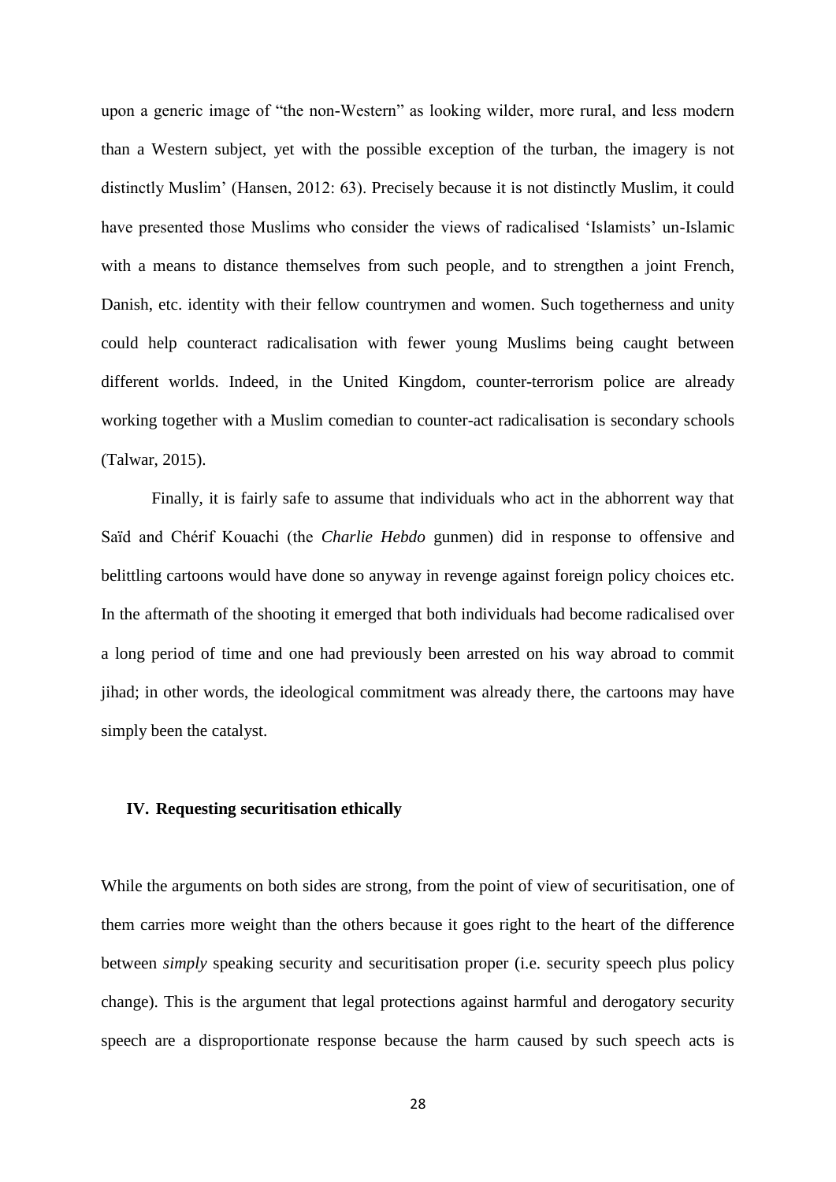upon a generic image of "the non-Western" as looking wilder, more rural, and less modern than a Western subject, yet with the possible exception of the turban, the imagery is not distinctly Muslim' (Hansen, 2012: 63). Precisely because it is not distinctly Muslim, it could have presented those Muslims who consider the views of radicalised 'Islamists' un-Islamic with a means to distance themselves from such people, and to strengthen a joint French, Danish, etc. identity with their fellow countrymen and women. Such togetherness and unity could help counteract radicalisation with fewer young Muslims being caught between different worlds. Indeed, in the United Kingdom, counter-terrorism police are already working together with a Muslim comedian to counter-act radicalisation is secondary schools (Talwar, 2015).

Finally, it is fairly safe to assume that individuals who act in the abhorrent way that Saїd and Chérif Kouachi (the *Charlie Hebdo* gunmen) did in response to offensive and belittling cartoons would have done so anyway in revenge against foreign policy choices etc. In the aftermath of the shooting it emerged that both individuals had become radicalised over a long period of time and one had previously been arrested on his way abroad to commit jihad; in other words, the ideological commitment was already there, the cartoons may have simply been the catalyst.

#### **IV. Requesting securitisation ethically**

While the arguments on both sides are strong, from the point of view of securitisation, one of them carries more weight than the others because it goes right to the heart of the difference between *simply* speaking security and securitisation proper (i.e. security speech plus policy change). This is the argument that legal protections against harmful and derogatory security speech are a disproportionate response because the harm caused by such speech acts is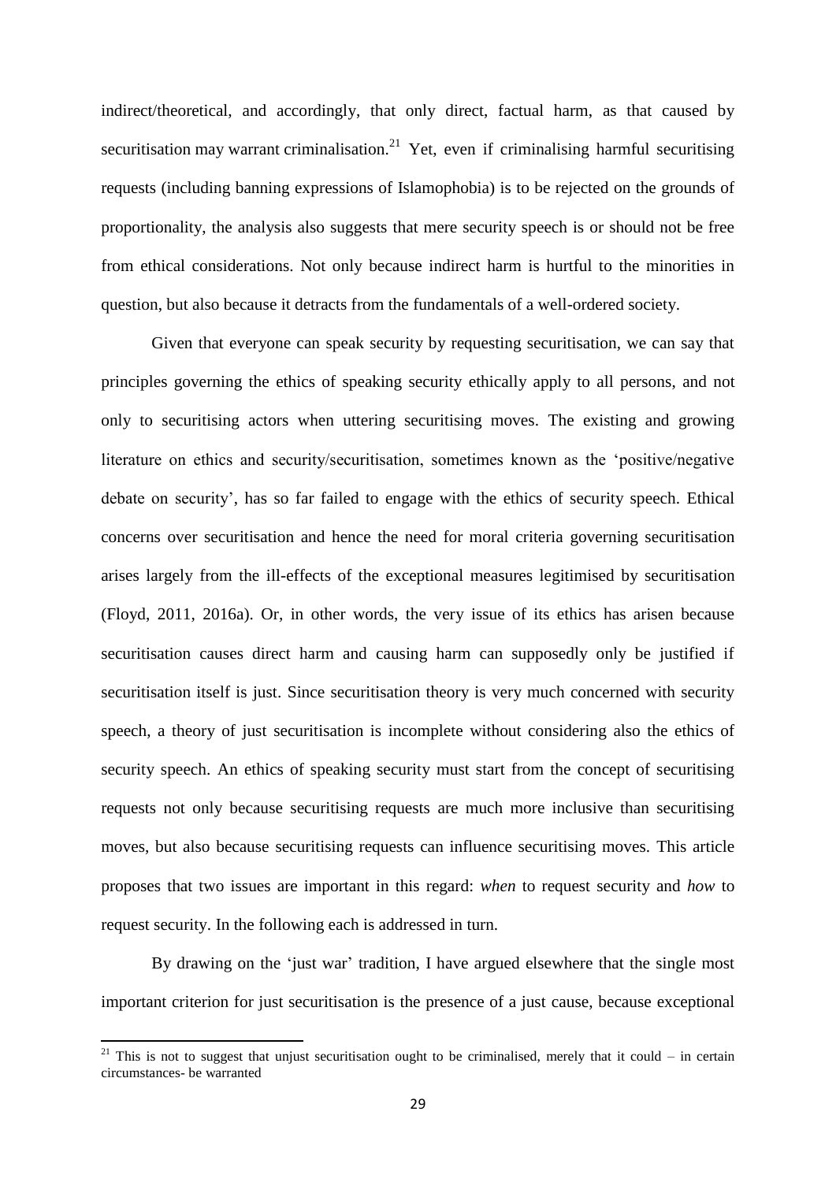indirect/theoretical, and accordingly, that only direct, factual harm, as that caused by securitisation may warrant criminalisation.<sup>21</sup> Yet, even if criminalising harmful securitising requests (including banning expressions of Islamophobia) is to be rejected on the grounds of proportionality, the analysis also suggests that mere security speech is or should not be free from ethical considerations. Not only because indirect harm is hurtful to the minorities in question, but also because it detracts from the fundamentals of a well-ordered society.

Given that everyone can speak security by requesting securitisation, we can say that principles governing the ethics of speaking security ethically apply to all persons, and not only to securitising actors when uttering securitising moves. The existing and growing literature on ethics and security/securitisation, sometimes known as the 'positive/negative debate on security', has so far failed to engage with the ethics of security speech. Ethical concerns over securitisation and hence the need for moral criteria governing securitisation arises largely from the ill-effects of the exceptional measures legitimised by securitisation (Floyd, 2011, 2016a). Or, in other words, the very issue of its ethics has arisen because securitisation causes direct harm and causing harm can supposedly only be justified if securitisation itself is just. Since securitisation theory is very much concerned with security speech, a theory of just securitisation is incomplete without considering also the ethics of security speech. An ethics of speaking security must start from the concept of securitising requests not only because securitising requests are much more inclusive than securitising moves, but also because securitising requests can influence securitising moves. This article proposes that two issues are important in this regard: *when* to request security and *how* to request security. In the following each is addressed in turn.

By drawing on the 'just war' tradition, I have argued elsewhere that the single most important criterion for just securitisation is the presence of a just cause, because exceptional

<sup>&</sup>lt;sup>21</sup> This is not to suggest that unjust securitisation ought to be criminalised, merely that it could – in certain circumstances- be warranted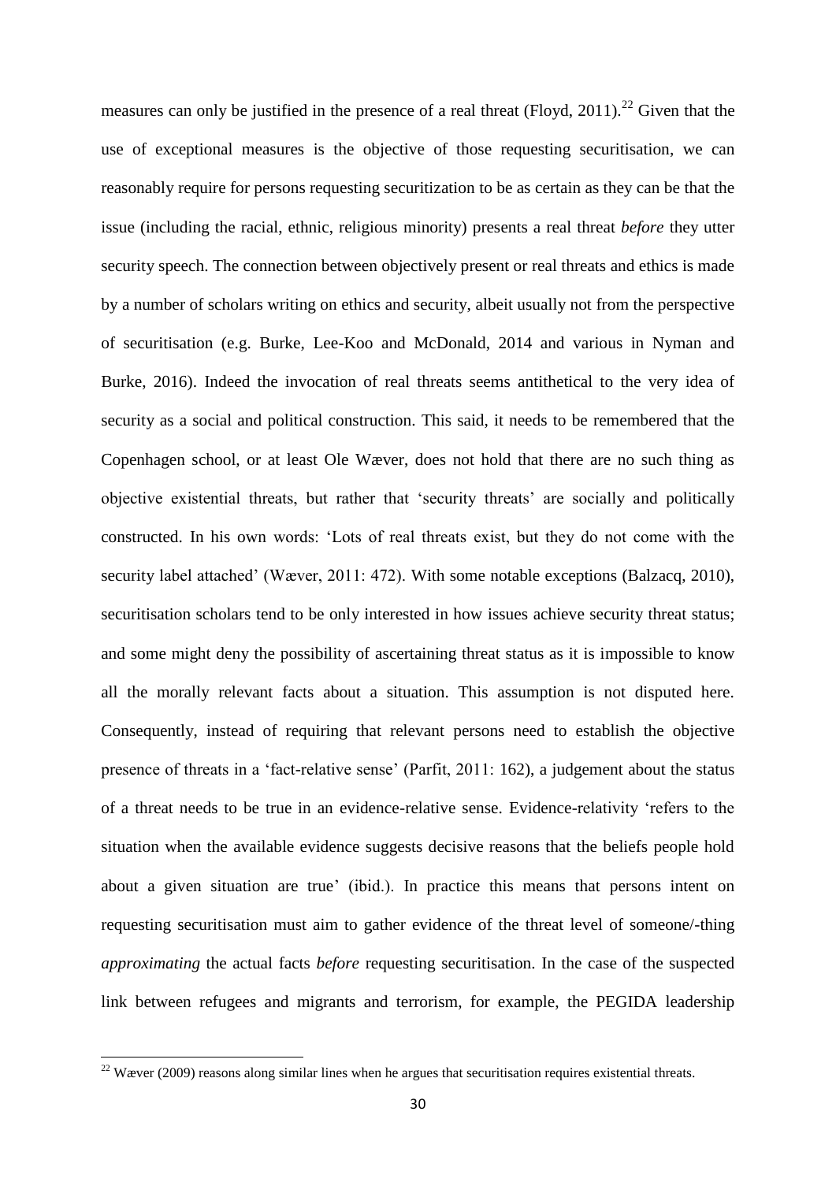measures can only be justified in the presence of a real threat (Floyd, 2011).<sup>22</sup> Given that the use of exceptional measures is the objective of those requesting securitisation, we can reasonably require for persons requesting securitization to be as certain as they can be that the issue (including the racial, ethnic, religious minority) presents a real threat *before* they utter security speech. The connection between objectively present or real threats and ethics is made by a number of scholars writing on ethics and security, albeit usually not from the perspective of securitisation (e.g. Burke, Lee-Koo and McDonald, 2014 and various in Nyman and Burke, 2016). Indeed the invocation of real threats seems antithetical to the very idea of security as a social and political construction. This said, it needs to be remembered that the Copenhagen school, or at least Ole Wæver, does not hold that there are no such thing as objective existential threats, but rather that 'security threats' are socially and politically constructed. In his own words: 'Lots of real threats exist, but they do not come with the security label attached' (Wæver, 2011: 472). With some notable exceptions (Balzacq, 2010), securitisation scholars tend to be only interested in how issues achieve security threat status; and some might deny the possibility of ascertaining threat status as it is impossible to know all the morally relevant facts about a situation. This assumption is not disputed here. Consequently, instead of requiring that relevant persons need to establish the objective presence of threats in a 'fact-relative sense' (Parfit, 2011: 162), a judgement about the status of a threat needs to be true in an evidence-relative sense. Evidence-relativity 'refers to the situation when the available evidence suggests decisive reasons that the beliefs people hold about a given situation are true' (ibid.). In practice this means that persons intent on requesting securitisation must aim to gather evidence of the threat level of someone/-thing *approximating* the actual facts *before* requesting securitisation. In the case of the suspected link between refugees and migrants and terrorism, for example, the PEGIDA leadership

 $22$  Wæver (2009) reasons along similar lines when he argues that securitisation requires existential threats.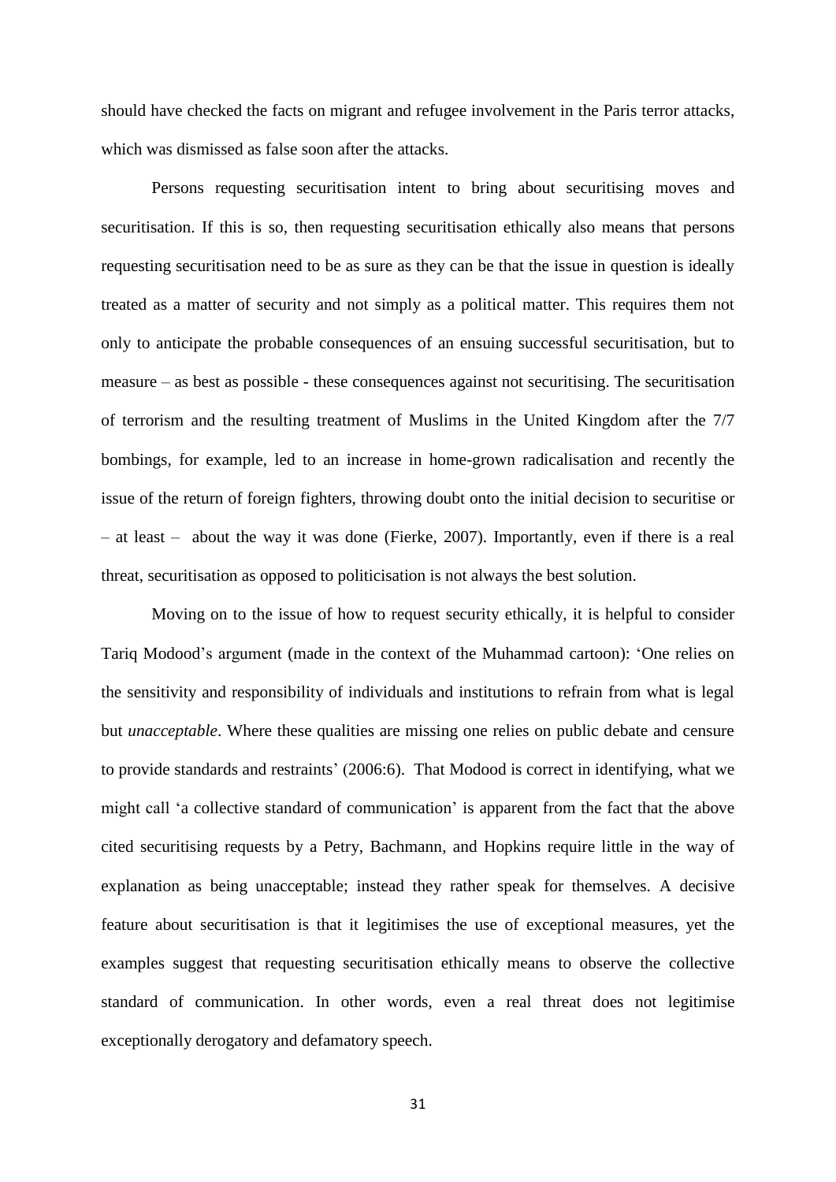should have checked the facts on migrant and refugee involvement in the Paris terror attacks, which was dismissed as false soon after the attacks.

Persons requesting securitisation intent to bring about securitising moves and securitisation. If this is so, then requesting securitisation ethically also means that persons requesting securitisation need to be as sure as they can be that the issue in question is ideally treated as a matter of security and not simply as a political matter. This requires them not only to anticipate the probable consequences of an ensuing successful securitisation, but to measure – as best as possible - these consequences against not securitising. The securitisation of terrorism and the resulting treatment of Muslims in the United Kingdom after the 7/7 bombings, for example, led to an increase in home-grown radicalisation and recently the issue of the return of foreign fighters, throwing doubt onto the initial decision to securitise or – at least – about the way it was done (Fierke, 2007). Importantly, even if there is a real threat, securitisation as opposed to politicisation is not always the best solution.

Moving on to the issue of how to request security ethically, it is helpful to consider Tariq Modood's argument (made in the context of the Muhammad cartoon): 'One relies on the sensitivity and responsibility of individuals and institutions to refrain from what is legal but *unacceptable*. Where these qualities are missing one relies on public debate and censure to provide standards and restraints' (2006:6). That Modood is correct in identifying, what we might call 'a collective standard of communication' is apparent from the fact that the above cited securitising requests by a Petry, Bachmann, and Hopkins require little in the way of explanation as being unacceptable; instead they rather speak for themselves. A decisive feature about securitisation is that it legitimises the use of exceptional measures, yet the examples suggest that requesting securitisation ethically means to observe the collective standard of communication. In other words, even a real threat does not legitimise exceptionally derogatory and defamatory speech.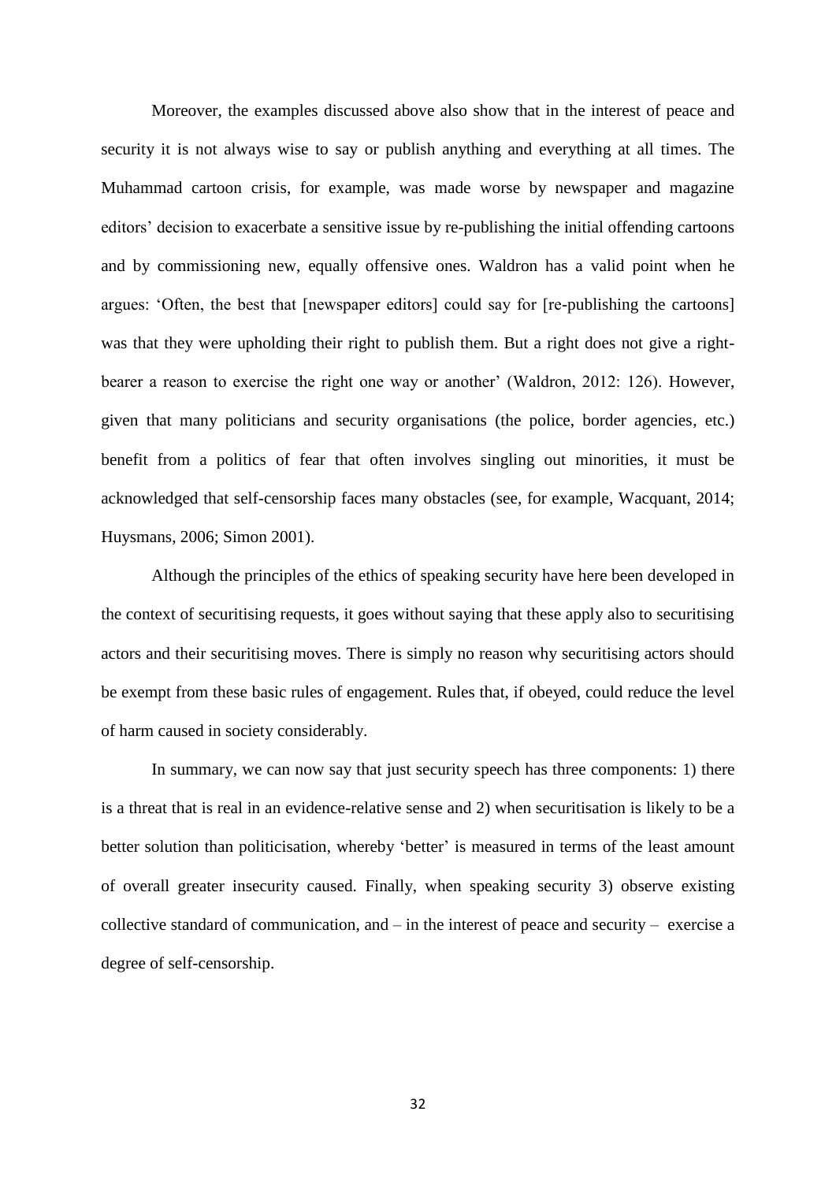Moreover, the examples discussed above also show that in the interest of peace and security it is not always wise to say or publish anything and everything at all times. The Muhammad cartoon crisis, for example, was made worse by newspaper and magazine editors' decision to exacerbate a sensitive issue by re-publishing the initial offending cartoons and by commissioning new, equally offensive ones. Waldron has a valid point when he argues: 'Often, the best that [newspaper editors] could say for [re-publishing the cartoons] was that they were upholding their right to publish them. But a right does not give a rightbearer a reason to exercise the right one way or another' (Waldron, 2012: 126). However, given that many politicians and security organisations (the police, border agencies, etc.) benefit from a politics of fear that often involves singling out minorities, it must be acknowledged that self-censorship faces many obstacles (see, for example, Wacquant, 2014; Huysmans, 2006; Simon 2001).

Although the principles of the ethics of speaking security have here been developed in the context of securitising requests, it goes without saying that these apply also to securitising actors and their securitising moves. There is simply no reason why securitising actors should be exempt from these basic rules of engagement. Rules that, if obeyed, could reduce the level of harm caused in society considerably.

In summary, we can now say that just security speech has three components: 1) there is a threat that is real in an evidence-relative sense and 2) when securitisation is likely to be a better solution than politicisation, whereby 'better' is measured in terms of the least amount of overall greater insecurity caused. Finally, when speaking security 3) observe existing collective standard of communication, and – in the interest of peace and security – exercise a degree of self-censorship.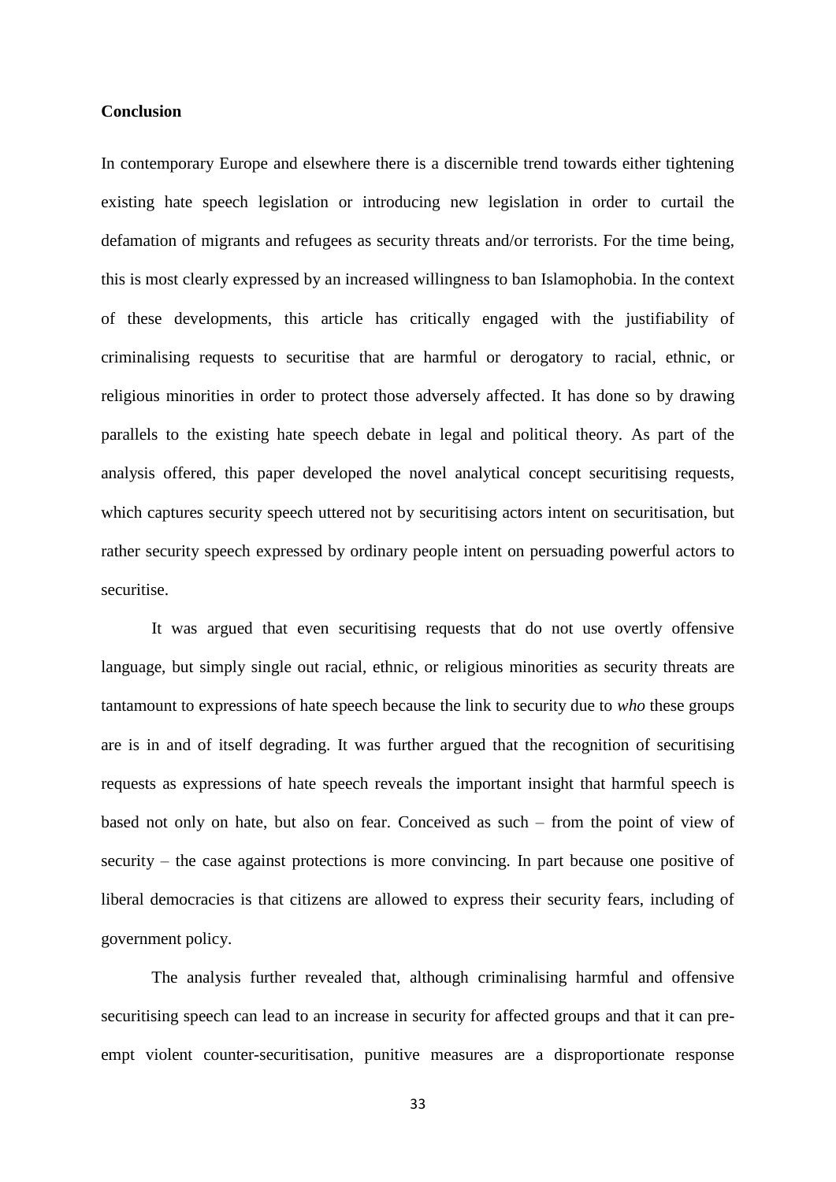#### **Conclusion**

In contemporary Europe and elsewhere there is a discernible trend towards either tightening existing hate speech legislation or introducing new legislation in order to curtail the defamation of migrants and refugees as security threats and/or terrorists. For the time being, this is most clearly expressed by an increased willingness to ban Islamophobia. In the context of these developments, this article has critically engaged with the justifiability of criminalising requests to securitise that are harmful or derogatory to racial, ethnic, or religious minorities in order to protect those adversely affected. It has done so by drawing parallels to the existing hate speech debate in legal and political theory. As part of the analysis offered, this paper developed the novel analytical concept securitising requests, which captures security speech uttered not by securitising actors intent on securitisation, but rather security speech expressed by ordinary people intent on persuading powerful actors to securitise.

It was argued that even securitising requests that do not use overtly offensive language, but simply single out racial, ethnic, or religious minorities as security threats are tantamount to expressions of hate speech because the link to security due to *who* these groups are is in and of itself degrading. It was further argued that the recognition of securitising requests as expressions of hate speech reveals the important insight that harmful speech is based not only on hate, but also on fear. Conceived as such – from the point of view of security – the case against protections is more convincing. In part because one positive of liberal democracies is that citizens are allowed to express their security fears, including of government policy.

The analysis further revealed that, although criminalising harmful and offensive securitising speech can lead to an increase in security for affected groups and that it can preempt violent counter-securitisation, punitive measures are a disproportionate response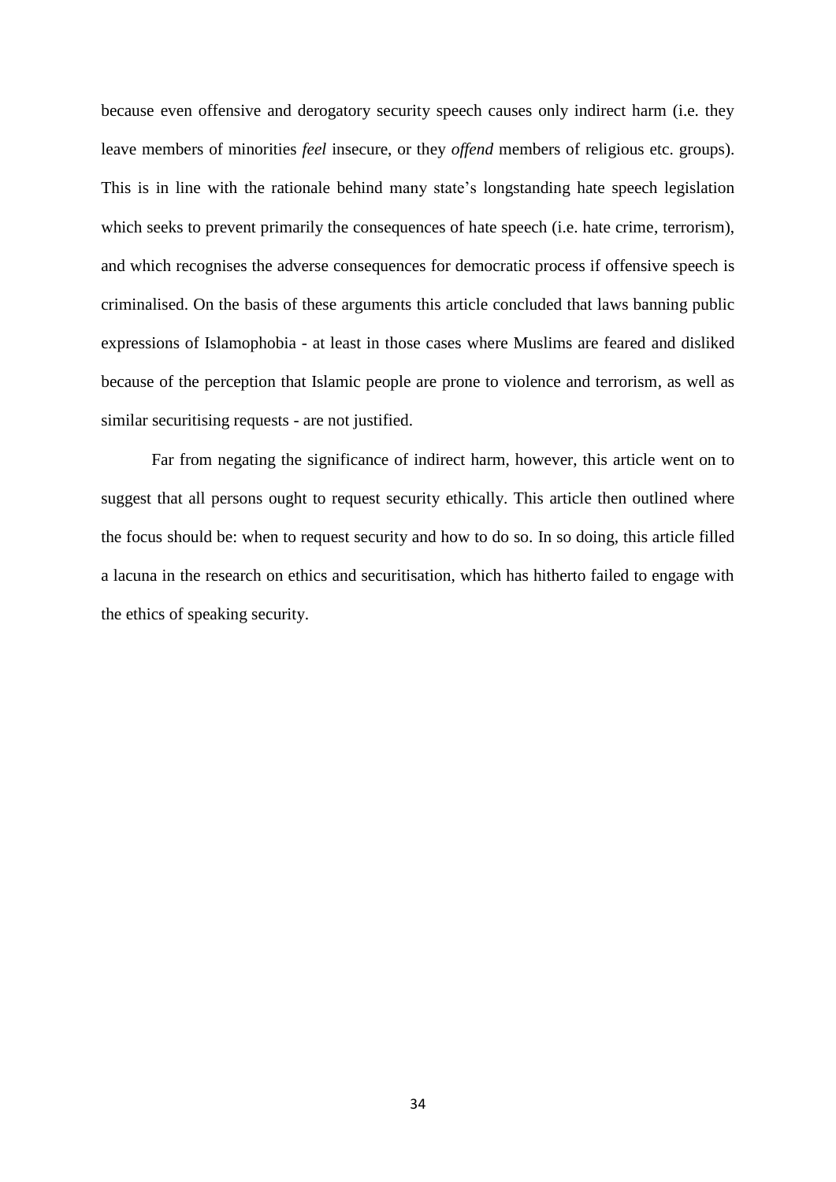because even offensive and derogatory security speech causes only indirect harm (i.e. they leave members of minorities *feel* insecure, or they *offend* members of religious etc. groups). This is in line with the rationale behind many state's longstanding hate speech legislation which seeks to prevent primarily the consequences of hate speech (*i.e.* hate crime, terrorism), and which recognises the adverse consequences for democratic process if offensive speech is criminalised. On the basis of these arguments this article concluded that laws banning public expressions of Islamophobia - at least in those cases where Muslims are feared and disliked because of the perception that Islamic people are prone to violence and terrorism, as well as similar securitising requests - are not justified.

Far from negating the significance of indirect harm, however, this article went on to suggest that all persons ought to request security ethically. This article then outlined where the focus should be: when to request security and how to do so. In so doing, this article filled a lacuna in the research on ethics and securitisation, which has hitherto failed to engage with the ethics of speaking security.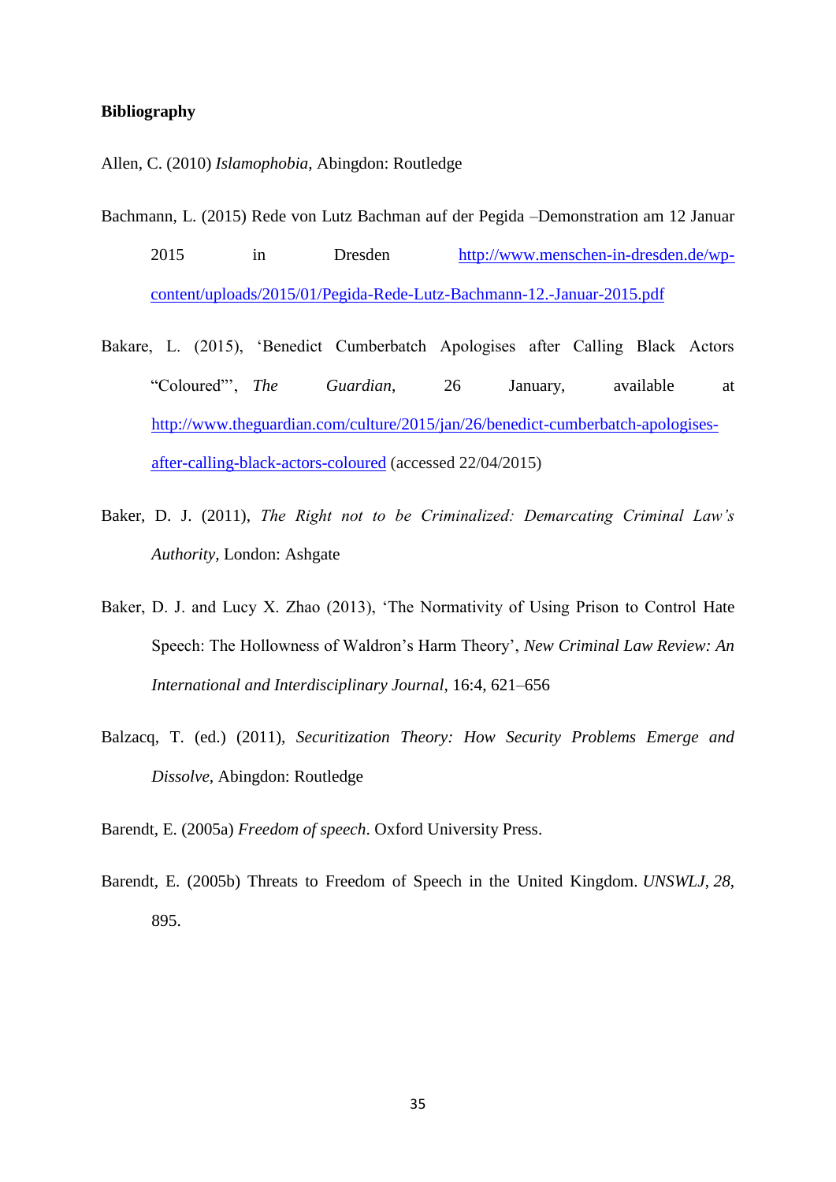#### **Bibliography**

Allen, C. (2010) *Islamophobia,* Abingdon: Routledge

- Bachmann, L. (2015) Rede von Lutz Bachman auf der Pegida –Demonstration am 12 Januar 2015 in Dresden [http://www.menschen-in-dresden.de/wp](http://www.menschen-in-dresden.de/wp-content/uploads/2015/01/Pegida-Rede-Lutz-Bachmann-12.-Januar-2015.pdf)[content/uploads/2015/01/Pegida-Rede-Lutz-Bachmann-12.-Januar-2015.pdf](http://www.menschen-in-dresden.de/wp-content/uploads/2015/01/Pegida-Rede-Lutz-Bachmann-12.-Januar-2015.pdf)
- Bakare, L. (2015), 'Benedict Cumberbatch Apologises after Calling Black Actors "Coloured"', *The Guardian*, 26 January, available at [http://www.theguardian.com/culture/2015/jan/26/benedict-cumberbatch-apologises](http://www.theguardian.com/culture/2015/jan/26/benedict-cumberbatch-apologises-%09after-calling-black-actors-coloured)[after-calling-black-actors-coloured](http://www.theguardian.com/culture/2015/jan/26/benedict-cumberbatch-apologises-%09after-calling-black-actors-coloured) (accessed 22/04/2015)
- Baker, D. J. (2011), *The Right not to be Criminalized: Demarcating Criminal Law's Authority,* London: Ashgate
- Baker, D. J. and Lucy X. Zhao (2013), 'The Normativity of Using Prison to Control Hate Speech: The Hollowness of Waldron's Harm Theory', *New Criminal Law Review: An International and Interdisciplinary Journal*, 16:4, 621–656
- Balzacq, T. (ed.) (2011), *Securitization Theory: How Security Problems Emerge and Dissolve,* Abingdon: Routledge

Barendt, E. (2005a) *Freedom of speech*. Oxford University Press.

Barendt, E. (2005b) Threats to Freedom of Speech in the United Kingdom. *UNSWLJ*, *28*, 895.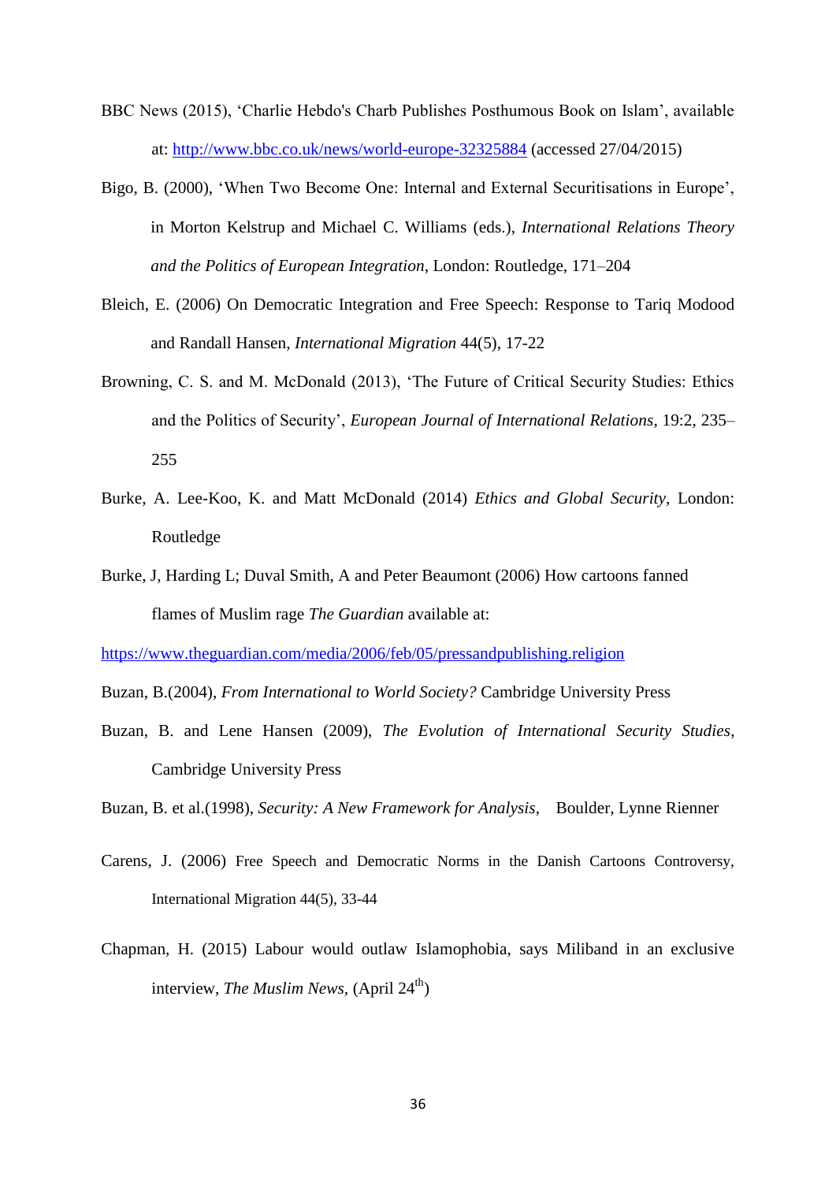- BBC News (2015), 'Charlie Hebdo's Charb Publishes Posthumous Book on Islam', available at:<http://www.bbc.co.uk/news/world-europe-32325884> (accessed 27/04/2015)
- Bigo, B. (2000), 'When Two Become One: Internal and External Securitisations in Europe', in Morton Kelstrup and Michael C. Williams (eds.), *International Relations Theory and the Politics of European Integration*, London: Routledge, 171–204
- Bleich, E. (2006) On Democratic Integration and Free Speech: Response to Tariq Modood and Randall Hansen, *International Migration* 44(5), 17-22
- Browning, C. S. and M. McDonald (2013), 'The Future of Critical Security Studies: Ethics and the Politics of Security', *European Journal of International Relations*, 19:2, 235– 255
- Burke, A. Lee-Koo, K. and Matt McDonald (2014) *Ethics and Global Security,* London: Routledge
- Burke, J, Harding L; Duval Smith, A and Peter Beaumont (2006) How cartoons fanned flames of Muslim rage *The Guardian* available at:

<https://www.theguardian.com/media/2006/feb/05/pressandpublishing.religion>

- Buzan, B.(2004), *From International to World Society?* Cambridge University Press
- Buzan, B. and Lene Hansen (2009), *The Evolution of International Security Studies*, Cambridge University Press

Buzan, B. et al.(1998), *Security: A New Framework for Analysis*, Boulder, Lynne Rienner

- Carens, J. (2006) Free Speech and Democratic Norms in the Danish Cartoons Controversy, International Migration 44(5), 33-44
- Chapman, H. (2015) Labour would outlaw Islamophobia, says Miliband in an exclusive interview, *The Muslim News*, (April 24<sup>th</sup>)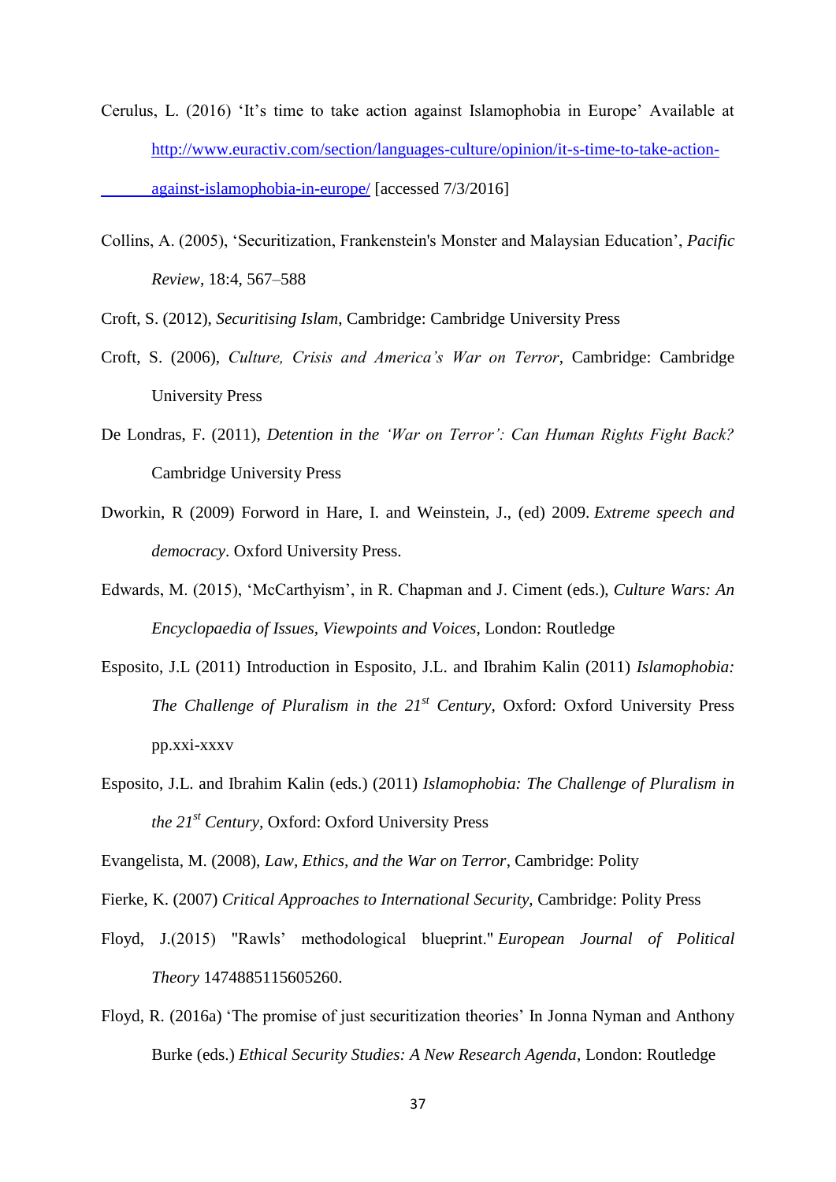- Cerulus, L. (2016) 'It's time to take action against Islamophobia in Europe' Available at [http://www.euractiv.com/section/languages-culture/opinion/it-s-time-to-take-action](http://www.euractiv.com/section/languages-culture/opinion/it-s-time-to-take-action-%09against-islamophobia-in-europe/)[against-islamophobia-in-europe/](http://www.euractiv.com/section/languages-culture/opinion/it-s-time-to-take-action-%09against-islamophobia-in-europe/) [accessed 7/3/2016]
- Collins, A. (2005), 'Securitization, Frankenstein's Monster and Malaysian Education', *Pacific Review*, 18:4, 567–588

Croft, S. (2012), *Securitising Islam*, Cambridge: Cambridge University Press

- Croft, S. (2006), *Culture, Crisis and America's War on Terror*, Cambridge: Cambridge University Press
- De Londras, F. (2011), *Detention in the 'War on Terror': Can Human Rights Fight Back?*  Cambridge University Press
- Dworkin, R (2009) Forword in Hare, I. and Weinstein, J., (ed) 2009. *Extreme speech and democracy*. Oxford University Press.
- Edwards, M. (2015), 'McCarthyism', in R. Chapman and J. Ciment (eds.), *Culture Wars: An Encyclopaedia of Issues, Viewpoints and Voices*, London: Routledge
- Esposito, J.L (2011) Introduction in Esposito, J.L. and Ibrahim Kalin (2011) *Islamophobia: The Challenge of Pluralism in the 21st Century,* Oxford: Oxford University Press pp.xxi-xxxv
- Esposito, J.L. and Ibrahim Kalin (eds.) (2011) *Islamophobia: The Challenge of Pluralism in the 21st Century,* Oxford: Oxford University Press

Evangelista, M. (2008), *Law, Ethics, and the War on Terror*, Cambridge: Polity

Fierke, K. (2007) *Critical Approaches to International Security,* Cambridge: Polity Press

- Floyd, J.(2015) "Rawls' methodological blueprint." *European Journal of Political Theory* 1474885115605260.
- Floyd, R. (2016a) 'The promise of just securitization theories' In Jonna Nyman and Anthony Burke (eds.) *Ethical Security Studies: A New Research Agenda*, London: Routledge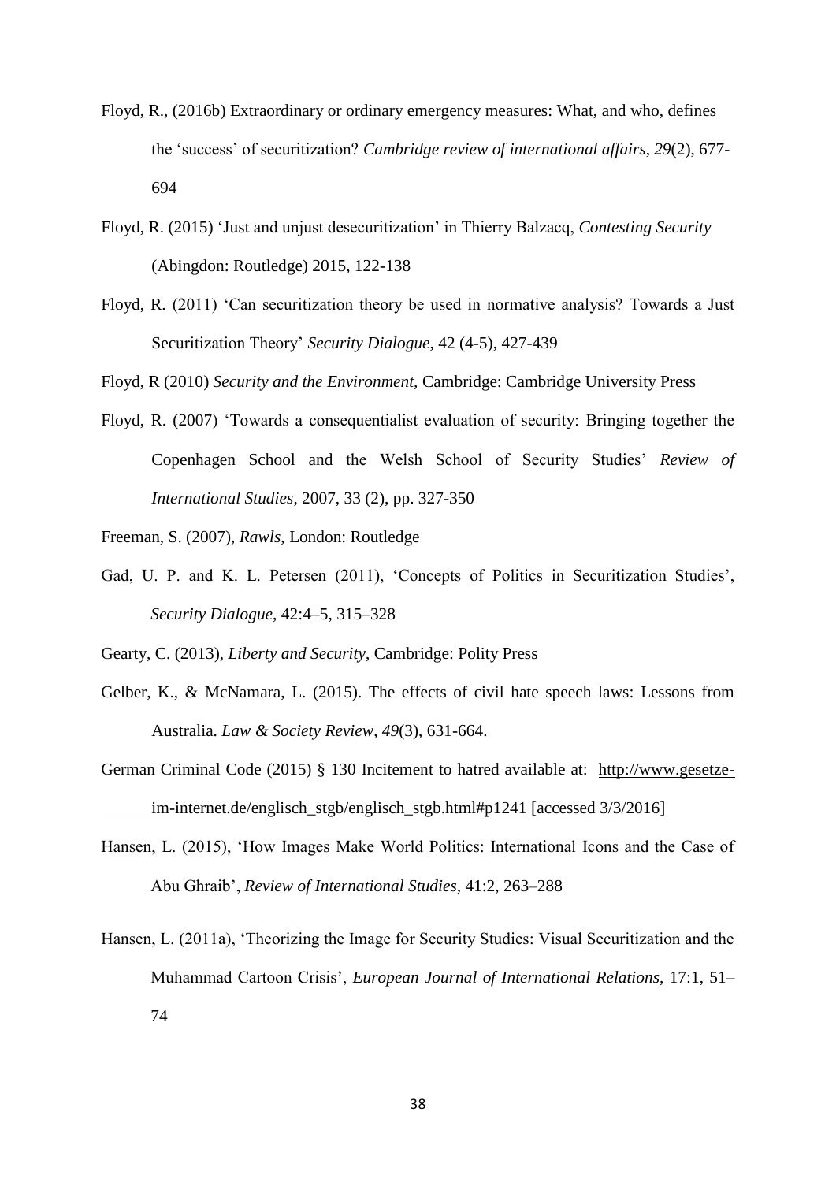- Floyd, R., (2016b) Extraordinary or ordinary emergency measures: What, and who, defines the 'success' of securitization? *Cambridge review of international affairs*, *29*(2), 677- 694
- Floyd, R. (2015) 'Just and unjust desecuritization' in Thierry Balzacq, *Contesting Security*  (Abingdon: Routledge) 2015, 122-138
- Floyd, R. (2011) 'Can securitization theory be used in normative analysis? Towards a Just Securitization Theory' *Security Dialogue*, 42 (4-5), 427-439
- Floyd, R (2010) *Security and the Environment,* Cambridge: Cambridge University Press
- Floyd, R. (2007) 'Towards a consequentialist evaluation of security: Bringing together the Copenhagen School and the Welsh School of Security Studies' *Review of International Studies*, 2007, 33 (2), pp. 327-350

Freeman, S. (2007), *Rawls*, London: Routledge

Gad, U. P. and K. L. Petersen (2011), 'Concepts of Politics in Securitization Studies', *Security Dialogue*, 42:4–5, 315–328

Gearty, C. (2013), *Liberty and Security*, Cambridge: Polity Press

- Gelber, K., & McNamara, L. (2015). The effects of civil hate speech laws: Lessons from Australia. *Law & Society Review*, *49*(3), 631-664.
- German Criminal Code (2015) § 130 Incitement to hatred available at: http://www.gesetzeim-internet.de/englisch\_stgb/englisch\_stgb.html#p1241 [accessed 3/3/2016]
- Hansen, L. (2015), 'How Images Make World Politics: International Icons and the Case of Abu Ghraib', *Review of International Studies*, 41:2, 263–288
- Hansen, L. (2011a), 'Theorizing the Image for Security Studies: Visual Securitization and the Muhammad Cartoon Crisis', *European Journal of International Relations*, 17:1, 51– 74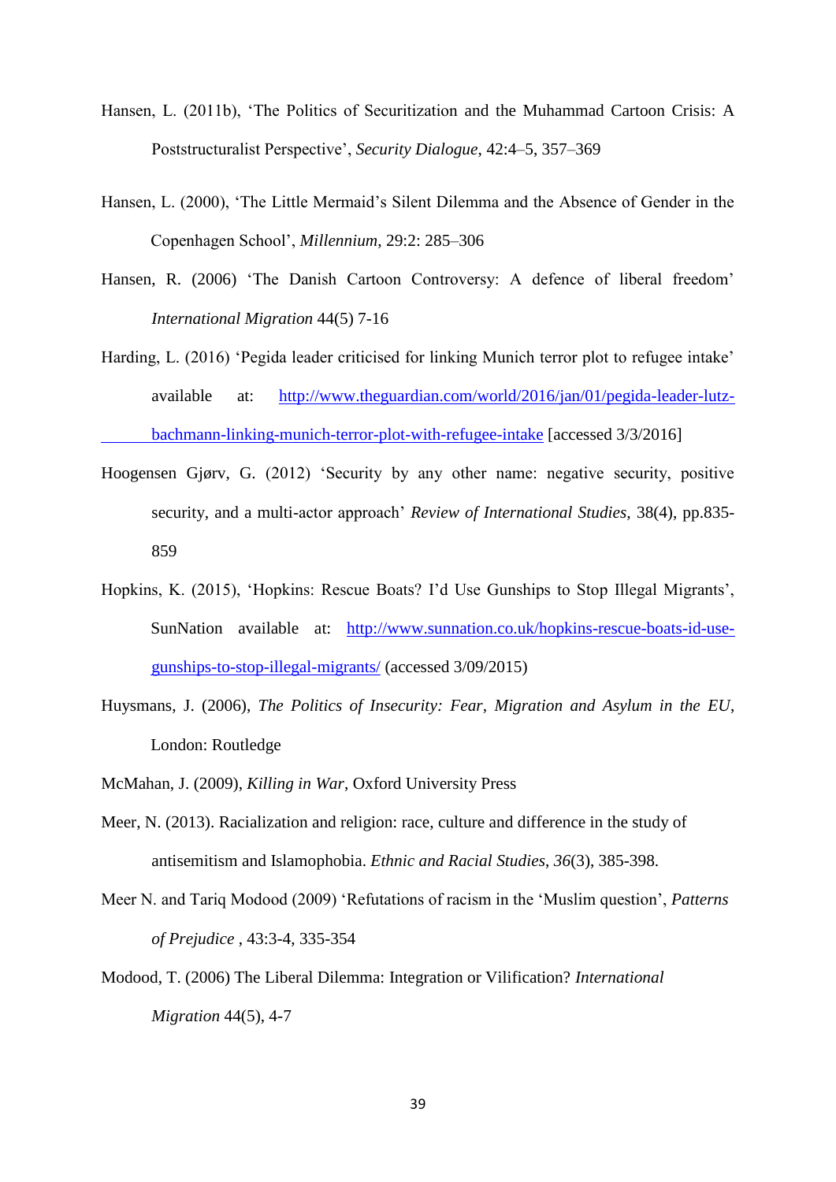- Hansen, L. (2011b), 'The Politics of Securitization and the Muhammad Cartoon Crisis: A Poststructuralist Perspective', *Security Dialogue*, 42:4–5, 357–369
- Hansen, L. (2000), 'The Little Mermaid's Silent Dilemma and the Absence of Gender in the Copenhagen School', *Millennium*, 29:2: 285–306
- Hansen, R. (2006) 'The Danish Cartoon Controversy: A defence of liberal freedom' *International Migration* 44(5) 7-16
- Harding, L. (2016) 'Pegida leader criticised for linking Munich terror plot to refugee intake' available at: [http://www.theguardian.com/world/2016/jan/01/pegida-leader-lutz](http://www.theguardian.com/world/2016/jan/01/pegida-leader-lutz-%09bachmann-linking-munich-terror-plot-with-refugee-intake)[bachmann-linking-munich-terror-plot-with-refugee-intake](http://www.theguardian.com/world/2016/jan/01/pegida-leader-lutz-%09bachmann-linking-munich-terror-plot-with-refugee-intake) [accessed 3/3/2016]
- Hoogensen Gjørv, G. (2012) 'Security by any other name: negative security, positive security, and a multi-actor approach' *Review of International Studies,* 38(4), pp.835- 859
- Hopkins, K. (2015), 'Hopkins: Rescue Boats? I'd Use Gunships to Stop Illegal Migrants', SunNation available at: [http://www.sunnation.co.uk/hopkins-rescue-boats-id-use](http://www.sunnation.co.uk/hopkins-rescue-boats-id-use-%09gunships-to-stop-illegal-migrants/)[gunships-to-stop-illegal-migrants/](http://www.sunnation.co.uk/hopkins-rescue-boats-id-use-%09gunships-to-stop-illegal-migrants/) (accessed 3/09/2015)
- Huysmans, J. (2006), *The Politics of Insecurity: Fear, Migration and Asylum in the EU*, London: Routledge
- McMahan, J. (2009), *Killing in War*, Oxford University Press
- Meer, N. (2013). Racialization and religion: race, culture and difference in the study of antisemitism and Islamophobia. *Ethnic and Racial Studies*, *36*(3), 385-398.
- Meer N. and Tariq Modood (2009) 'Refutations of racism in the 'Muslim question', *Patterns of Prejudice* , 43:3-4, 335-354
- Modood, T. (2006) The Liberal Dilemma: Integration or Vilification? *International Migration* 44(5), 4-7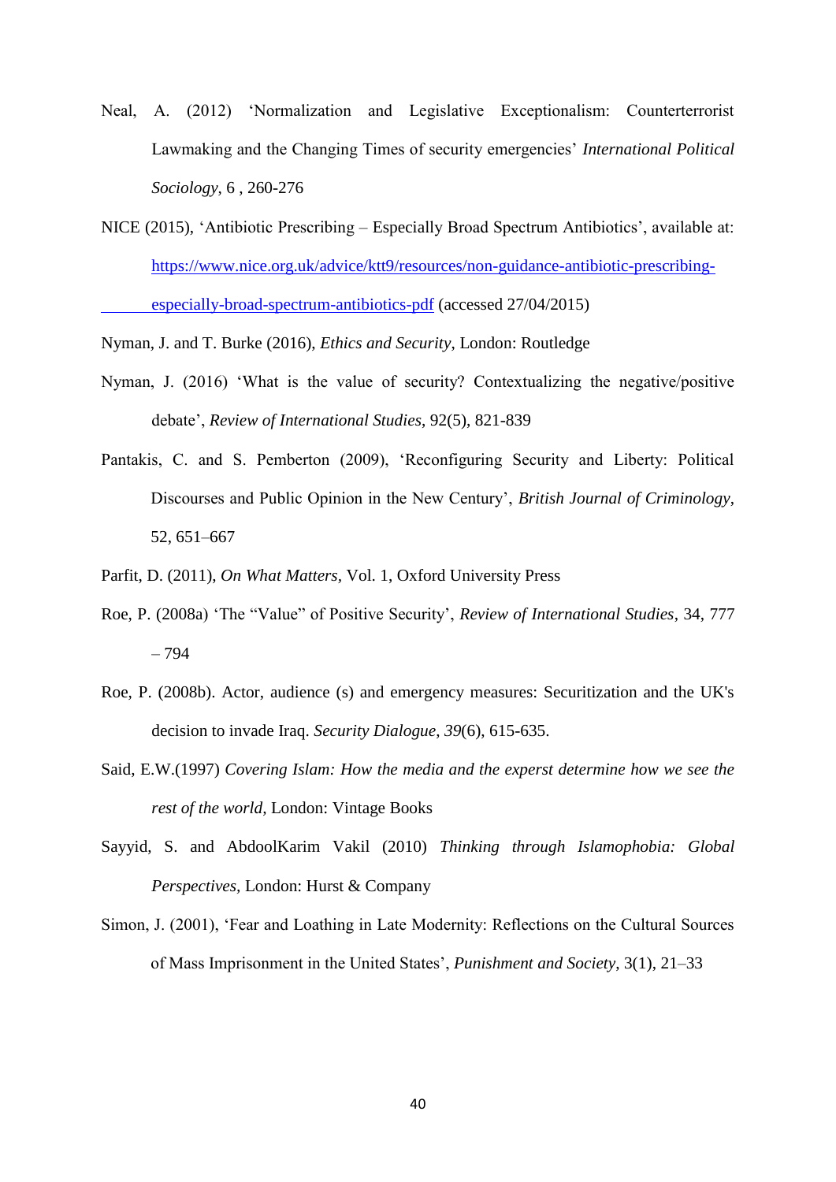- Neal, A. (2012) 'Normalization and Legislative Exceptionalism: Counterterrorist Lawmaking and the Changing Times of security emergencies' *International Political Sociology*, 6 , 260-276
- NICE (2015), 'Antibiotic Prescribing Especially Broad Spectrum Antibiotics', available at: [https://www.nice.org.uk/advice/ktt9/resources/non-guidance-antibiotic-prescribing-](https://www.nice.org.uk/advice/ktt9/resources/non-guidance-antibiotic-prescribing-%09especially-broad-spectrum-antibiotics-pdf)

[especially-broad-spectrum-antibiotics-pdf](https://www.nice.org.uk/advice/ktt9/resources/non-guidance-antibiotic-prescribing-%09especially-broad-spectrum-antibiotics-pdf) (accessed 27/04/2015)

- Nyman, J. and T. Burke (2016), *Ethics and Security*, London: Routledge
- Nyman, J. (2016) 'What is the value of security? Contextualizing the negative/positive debate', *Review of International Studies*, 92(5), 821-839
- Pantakis, C. and S. Pemberton (2009), 'Reconfiguring Security and Liberty: Political Discourses and Public Opinion in the New Century', *British Journal of Criminology*, 52, 651–667
- Parfit, D. (2011), *On What Matters,* Vol. 1, Oxford University Press
- Roe, P. (2008a) 'The "Value" of Positive Security', *Review of International Studies*, 34, 777 – 794
- Roe, P. (2008b). Actor, audience (s) and emergency measures: Securitization and the UK's decision to invade Iraq. *Security Dialogue*, *39*(6), 615-635.
- Said, E.W.(1997) *Covering Islam: How the media and the experst determine how we see the rest of the world,* London: Vintage Books
- Sayyid, S. and AbdoolKarim Vakil (2010) *Thinking through Islamophobia: Global Perspectives,* London: Hurst & Company
- Simon, J. (2001), 'Fear and Loathing in Late Modernity: Reflections on the Cultural Sources of Mass Imprisonment in the United States', *Punishment and Society*, 3(1), 21–33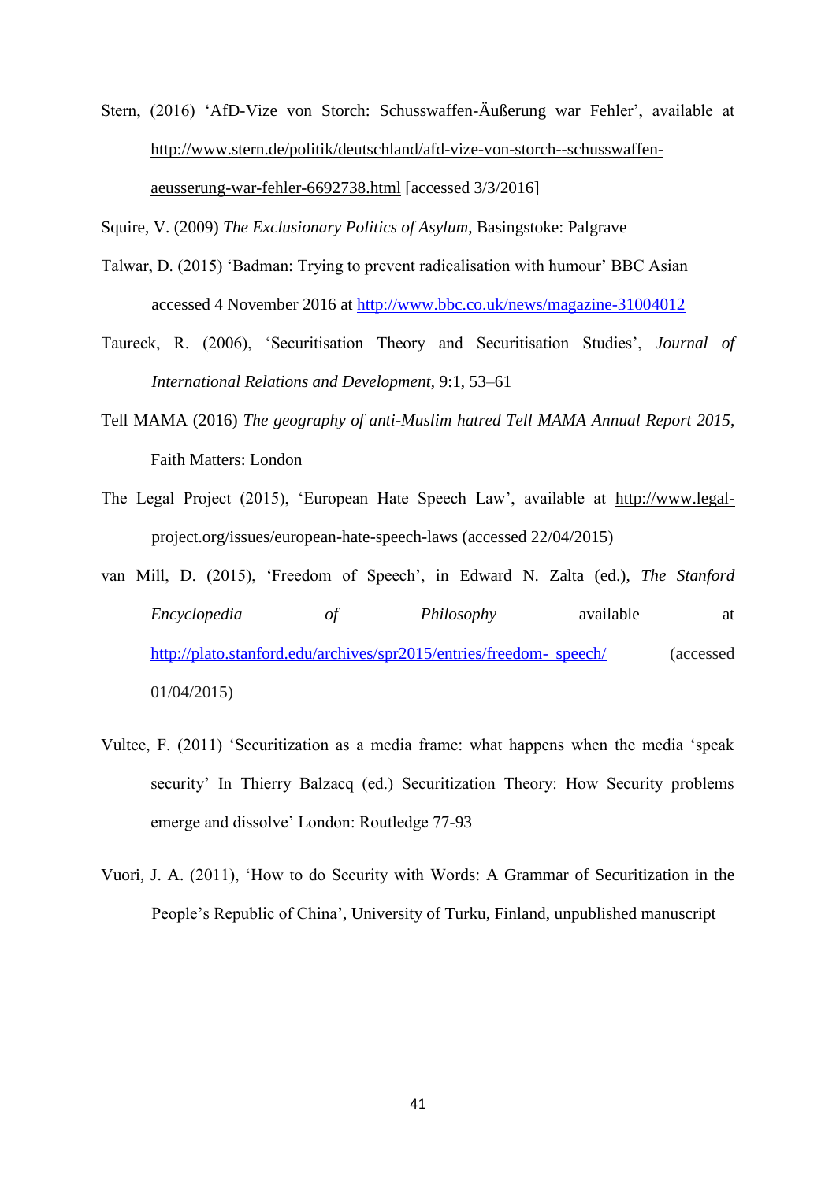Stern, (2016) 'AfD-Vize von Storch: Schusswaffen-Äußerung war Fehler', available at [http://www.stern.de/politik/deutschland/afd-vize-von-storch--schusswaffen](http://www.stern.de/politik/deutschland/afd-vize-von-storch--schusswaffen-aeusserung-war-fehler-6692738.html)[aeusserung-war-fehler-6692738.html](http://www.stern.de/politik/deutschland/afd-vize-von-storch--schusswaffen-aeusserung-war-fehler-6692738.html) [accessed 3/3/2016]

Squire, V. (2009) *The Exclusionary Politics of Asylum*, Basingstoke: Palgrave

- Talwar, D. (2015) 'Badman: Trying to prevent radicalisation with humour' BBC Asian accessed 4 November 2016 at<http://www.bbc.co.uk/news/magazine-31004012>
- Taureck, R. (2006), 'Securitisation Theory and Securitisation Studies', *Journal of International Relations and Development*, 9:1, 53–61
- Tell MAMA (2016) *The geography of anti-Muslim hatred Tell MAMA Annual Report 2015*, Faith Matters: London
- The Legal Project (2015), 'European Hate Speech Law', available at http://www.legalproject.org/issues/european-hate-speech-laws (accessed 22/04/2015)
- van Mill, D. (2015), 'Freedom of Speech', in Edward N. Zalta (ed.), *The Stanford Encyclopedia of Philosophy* available at [http://plato.stanford.edu/archives/spr2015/entries/freedom-](http://plato.stanford.edu/archives/spr2015/entries/freedom-%09speech/) speech/ (accessed 01/04/2015)
- Vultee, F. (2011) 'Securitization as a media frame: what happens when the media 'speak security' In Thierry Balzacq (ed.) Securitization Theory: How Security problems emerge and dissolve' London: Routledge 77-93
- Vuori, J. A. (2011), 'How to do Security with Words: A Grammar of Securitization in the People's Republic of China'*,* University of Turku, Finland, unpublished manuscript